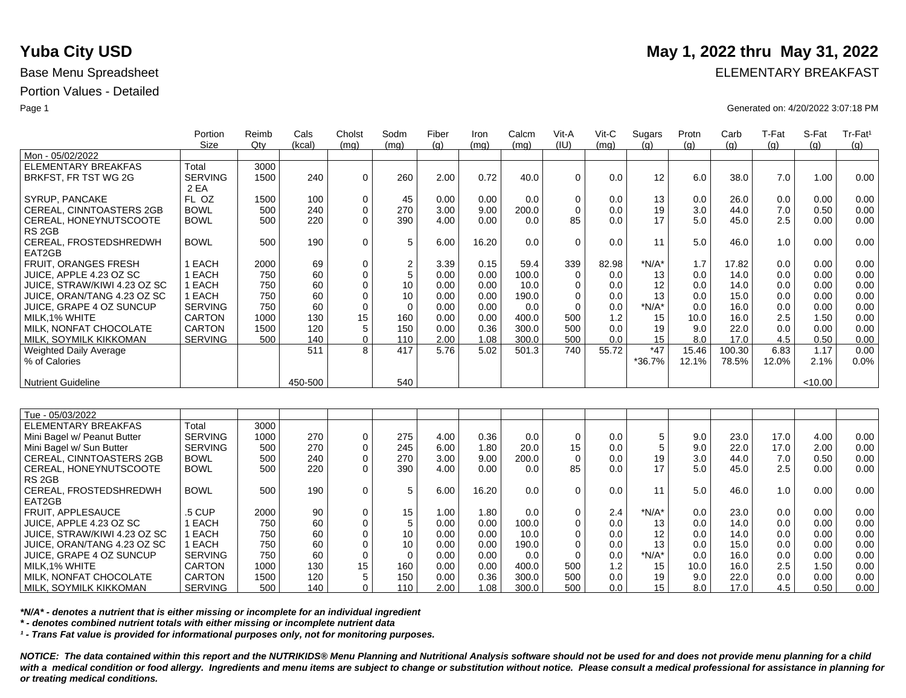|                                 | Portion<br><b>Size</b> | Reimb<br>Qtv | Cals<br>(kcal) | Cholst<br>(mq) | Sodm<br>(mq)  | Fiber<br>(q) | Iron<br>(mq) | Calcm<br>(ma) | Vit-A<br>(IU) | Vit-C<br>(mg) | Sugars<br>(q) | Protn | Carb   | T-Fat<br>(q) | S-Fat<br>(q) | Tr-Fat <sup>1</sup> |
|---------------------------------|------------------------|--------------|----------------|----------------|---------------|--------------|--------------|---------------|---------------|---------------|---------------|-------|--------|--------------|--------------|---------------------|
| Mon - 05/02/2022                |                        |              |                |                |               |              |              |               |               |               |               | (g)   | (g)    |              |              | (g)                 |
| <b>ELEMENTARY BREAKFAS</b>      | Total                  | 3000         |                |                |               |              |              |               |               |               |               |       |        |              |              |                     |
| BRKFST, FR TST WG 2G            | <b>SERVING</b>         | 1500         | 240            | $\mathbf 0$    | 260           | 2.00         | 0.72         | 40.0          | $\Omega$      | 0.0           | 12            | 6.0   | 38.0   | 7.0          | 1.00         | 0.00                |
|                                 | 2 EA                   |              |                |                |               |              |              |               |               |               |               |       |        |              |              |                     |
| SYRUP, PANCAKE                  | FL OZ                  | 1500         | 100            | $\mathbf 0$    | 45            | 0.00         | 0.00         | 0.0           | $\mathbf 0$   | 0.0           | 13            | 0.0   | 26.0   | 0.0          | 0.00         | 0.00                |
| CEREAL, CINNTOASTERS 2GB        | <b>BOWL</b>            | 500          | 240            | $\mathbf 0$    | 270           | 3.00         | 9.00         | 200.0         | $\Omega$      | 0.0           | 19            | 3.0   | 44.0   | 7.0          | 0.50         | 0.00                |
| CEREAL, HONEYNUTSCOOTE          | <b>BOWL</b>            | 500          | 220            | $\Omega$       | 390           | 4.00         | 0.00         | 0.0           | 85            | 0.0           | 17            | 5.0   | 45.0   | 2.5          | 0.00         | 0.00                |
| RS <sub>2GB</sub>               |                        |              |                |                |               |              |              |               |               |               |               |       |        |              |              |                     |
| CEREAL, FROSTEDSHREDWH          | <b>BOWL</b>            | 500          | 190            | $\mathbf 0$    | $\,$ 5 $\,$   | 6.00         | 16.20        | 0.0           | $\Omega$      | 0.0           | 11            | 5.0   | 46.0   | 1.0          | 0.00         | 0.00                |
| EAT2GB                          |                        |              |                |                |               |              |              |               |               |               |               |       |        |              |              |                     |
| <b>FRUIT, ORANGES FRESH</b>     | 1 EACH                 | 2000         | 69             | $\mathbf 0$    |               | 3.39         | 0.15         | 59.4          | 339           | 82.98         | $*N/A*$       | 1.7   | 17.82  | 0.0          | 0.00         | 0.00                |
| JUICE, APPLE 4.23 OZ SC         | 1 EACH                 | 750          | 60             | $\mathbf 0$    | $\frac{2}{5}$ | 0.00         | 0.00         | 100.0         | $\Omega$      | 0.0           | 13            | 0.0   | 14.0   | 0.0          | 0.00         | 0.00                |
| JUICE, STRAW/KIWI 4.23 OZ SC    | 1 EACH                 | 750          | 60             | $\Omega$       | 10            | 0.00         | 0.00         | 10.0          | $\Omega$      | 0.0           | 12            | 0.0   | 14.0   | 0.0          | 0.00         | 0.00                |
| JUICE, ORAN/TANG 4.23 OZ SC     | 1 EACH                 | 750          | 60             | $\mathbf 0$    | 10            | 0.00         | 0.00         | 190.0         | $\Omega$      | 0.0           | 13            | 0.0   | 15.0   | 0.0          | 0.00         | 0.00                |
| JUICE, GRAPE 4 OZ SUNCUP        | <b>SERVING</b>         | 750          | 60             | $\mathbf 0$    | $\mathbf 0$   | 0.00         | 0.00         | 0.0           | $\Omega$      | 0.0           | $*N/A*$       | 0.0   | 16.0   | 0.0          | 0.00         | 0.00                |
| MILK.1% WHITE                   | <b>CARTON</b>          | 1000         | 130            | 15             | 160           | 0.00         | 0.00         | 400.0         | 500           | 1.2           | 15            | 10.0  | 16.0   | 2.5          | 1.50         | 0.00                |
| MILK, NONFAT CHOCOLATE          | <b>CARTON</b>          | 1500         | 120            | 5              | 150           | 0.00         | 0.36         | 300.0         | 500           | 0.0           | 19            | 9.0   | 22.0   | 0.0          | 0.00         | 0.00                |
| MILK, SOYMILK KIKKOMAN          | <b>SERVING</b>         | 500          | 140            | $\mathbf{0}$   | 110           | 2.00         | 1.08         | 300.0         | 500           | 0.0           | 15            | 8.0   | 17.0   | 4.5          | 0.50         | 0.00                |
| <b>Weighted Daily Average</b>   |                        |              | 511            | 8              | 417           | 5.76         | 5.02         | 501.3         | 740           | 55.72         | $*47$         | 15.46 | 100.30 | 6.83         | 1.17         | 0.00                |
| % of Calories                   |                        |              |                |                |               |              |              |               |               |               | *36.7%        | 12.1% | 78.5%  | 12.0%        | 2.1%         | 0.0%                |
|                                 |                        |              |                |                |               |              |              |               |               |               |               |       |        |              |              |                     |
| <b>Nutrient Guideline</b>       |                        |              | 450-500        |                | 540           |              |              |               |               |               |               |       |        |              | < 10.00      |                     |
|                                 |                        |              |                |                |               |              |              |               |               |               |               |       |        |              |              |                     |
|                                 |                        |              |                |                |               |              |              |               |               |               |               |       |        |              |              |                     |
| Tue - 05/03/2022                |                        |              |                |                |               |              |              |               |               |               |               |       |        |              |              |                     |
| <b>ELEMENTARY BREAKFAS</b>      | Total                  | 3000         |                |                |               |              |              |               |               |               |               |       |        |              |              |                     |
| Mini Bagel w/ Peanut Butter     | <b>SERVING</b>         | 1000         | 270            | $\mathbf 0$    | 275           | 4.00         | 0.36         | 0.0           | $\Omega$      | 0.0           | 5             | 9.0   | 23.0   | 17.0         | 4.00         | 0.00                |
| Mini Bagel w/ Sun Butter        | <b>SERVING</b>         | 500          | 270            | $\mathbf 0$    | 245           | 6.00         | 1.80         | 20.0          | 15            | 0.0           | 5             | 9.0   | 22.0   | 17.0         | 2.00         | 0.00                |
| <b>CEREAL, CINNTOASTERS 2GB</b> | <b>BOWL</b>            | 500          | 240            | $\mathbf 0$    | 270           | 3.00         | 9.00         | 200.0         | $\Omega$      | 0.0           | 19            | 3.0   | 44.0   | 7.0          | 0.50         | 0.00                |
| CEREAL, HONEYNUTSCOOTE          | <b>BOWL</b>            | 500          | 220            | $\Omega$       | 390           | 4.00         | 0.00         | 0.0           | 85            | 0.0           | 17            | 5.0   | 45.0   | 2.5          | 0.00         | 0.00                |
| RS <sub>2GB</sub>               |                        |              |                |                |               |              |              |               |               |               |               |       |        |              |              |                     |
| CEREAL, FROSTEDSHREDWH          | <b>BOWL</b>            | 500          | 190            | 0              | $\,$ 5 $\,$   | 6.00         | 16.20        | 0.0           | $\Omega$      | 0.0           | 11            | 5.0   | 46.0   | 1.0          | 0.00         | 0.00                |
| EAT2GB                          |                        |              |                |                |               |              |              |               |               |               |               |       |        |              |              |                     |
| FRUIT, APPLESAUCE               | .5 CUP                 | 2000         | 90             | 0              | 15            | 1.00         | 1.80         | 0.0           | $\mathbf 0$   | 2.4           | $*N/A*$       | 0.0   | 23.0   | 0.0          | 0.00         | 0.00                |
| JUICE, APPLE 4.23 OZ SC         | 1 EACH                 | 750          | 60             | $\mathbf 0$    | 5             | 0.00         | 0.00         | 100.0         | $\Omega$      | 0.0           | 13            | 0.0   | 14.0   | 0.0          | 0.00         | 0.00                |
| JUICE, STRAW/KIWI 4.23 OZ SC    | 1 EACH                 | 750          | 60             | $\mathbf 0$    | 10            | 0.00         | 0.00         | 10.0          | $\Omega$      | 0.0           | 12            | 0.0   | 14.0   | 0.0          | 0.00         | 0.00                |
| JUICE, ORAN/TANG 4.23 OZ SC     | 1 EACH                 | 750          | 60             | $\Omega$       | 10            | 0.00         | 0.00         | 190.0         | $\Omega$      | 0.0           | 13            | 0.0   | 15.0   | 0.0          | 0.00         | 0.00                |
| JUICE, GRAPE 4 OZ SUNCUP        | <b>SERVING</b>         | 750          | 60             | $\mathbf 0$    | $\mathbf 0$   | 0.00         | 0.00         | 0.0           | $\Omega$      | 0.0           | $*N/A*$       | 0.0   | 16.0   | 0.0          | 0.00         | 0.00                |
| MILK, 1% WHITE                  | <b>CARTON</b>          | 1000         | 130            | 15             | 160           | 0.00         | 0.00         | 400.0         | 500           | 1.2           | 15            | 10.0  | 16.0   | 2.5          | 1.50         | 0.00                |
| MILK, NONFAT CHOCOLATE          | <b>CARTON</b>          | 1500         | 120            | 5              | 150           | 0.00         | 0.36         | 300.0         | 500           | 0.0           | 19            | 9.0   | 22.0   | 0.0          | 0.00         | 0.00                |
| I MILK. SOYMILK KIKKOMAN        | <b>SERVING</b>         | 500          | 140            | 0              | 110           | 2.00         | 1.08         | 300.0         | 500           | 0.0           | 15            | 8.0   | 17.0   | 4.5          | 0.50         | 0.00                |

*\*N/A\* - denotes a nutrient that is either missing or incomplete for an individual ingredient*

*\* - denotes combined nutrient totals with either missing or incomplete nutrient data*

*¹ - Trans Fat value is provided for informational purposes only, not for monitoring purposes.*

*NOTICE: The data contained within this report and the NUTRIKIDS® Menu Planning and Nutritional Analysis software should not be used for and does not provide menu planning for a child*  with a medical condition or food allergy. Ingredients and menu items are subject to change or substitution without notice. Please consult a medical professional for assistance in planning for *or treating medical conditions.*

## **Yuba City USD** May 1, 2022 thru May 31, 2022

Base Menu Spreadsheet **ELEMENTARY BREAKFAST** 

Page 1 Generated on: 4/20/2022 3:07:18 PM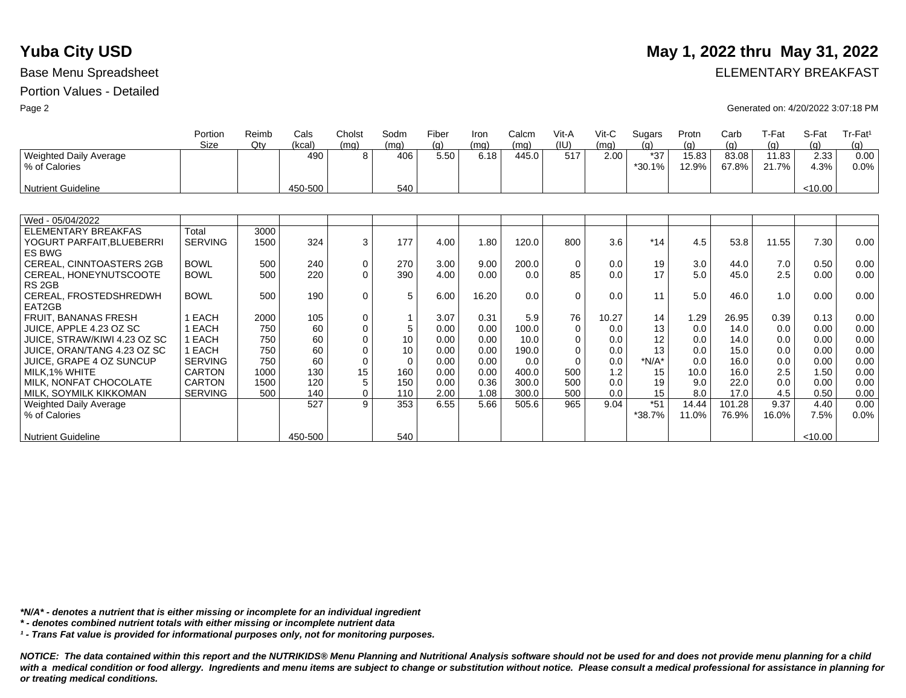|                                             | Portion<br>Size | Reimb<br>Qtv | Cals<br>(kcal) | Cholst<br>(mq) | Sodm<br>(mq) | Fiber<br>(q) | Iron<br>(mq) | Calcm<br>(mg) | Vit-A<br>(IU) | $V$ it-C<br>(mq) | Sugars<br>(q)   | Protn<br>(q)   | Carb<br>(g)    | T-Fat<br>(q)   | S-Fat<br>(q) | Tr-Fat <sup>1</sup><br>(g) |
|---------------------------------------------|-----------------|--------------|----------------|----------------|--------------|--------------|--------------|---------------|---------------|------------------|-----------------|----------------|----------------|----------------|--------------|----------------------------|
| Weighted Daily Average<br>% of Calories     |                 |              | 490            | 8              | 406          | 5.50         | 6.18         | 445.0         | 517           | 2.00             | $*37$<br>*30.1% | 15.83<br>12.9% | 83.08<br>67.8% | 11.83<br>21.7% | 2.33<br>4.3% | 0.00<br>0.0%               |
| <b>Nutrient Guideline</b>                   |                 |              | 450-500        |                | 540          |              |              |               |               |                  |                 |                |                |                | < 10.00      |                            |
|                                             |                 |              |                |                |              |              |              |               |               |                  |                 |                |                |                |              |                            |
| Wed - 05/04/2022                            |                 |              |                |                |              |              |              |               |               |                  |                 |                |                |                |              |                            |
| ELEMENTARY BREAKFAS                         | Total           | 3000         |                |                |              |              |              |               |               |                  |                 |                |                |                |              |                            |
| YOGURT PARFAIT, BLUEBERRI<br><b>ES BWG</b>  | <b>SERVING</b>  | 1500         | 324            | 3              | 177          | 4.00         | 1.80         | 120.0         | 800           | 3.6              | $*14$           | 4.5            | 53.8           | 11.55          | 7.30         | 0.00                       |
| CEREAL, CINNTOASTERS 2GB                    | <b>BOWL</b>     | 500          | 240            | 0              | 270          | 3.00         | 9.00         | 200.0         | $\mathbf 0$   | 0.0              | 19              | 3.0            | 44.0           | 7.0            | 0.50         | 0.00                       |
| CEREAL, HONEYNUTSCOOTE<br>RS <sub>2GB</sub> | <b>BOWL</b>     | 500          | 220            | $\Omega$       | 390          | 4.00         | 0.00         | 0.0           | 85            | 0.0              | 17              | 5.0            | 45.0           | 2.5            | 0.00         | 0.00                       |
| CEREAL, FROSTEDSHREDWH<br>EAT2GB            | <b>BOWL</b>     | 500          | 190            | $\mathbf 0$    | 5            | 6.00         | 16.20        | 0.0           | $\Omega$      | 0.0              | 11              | 5.0            | 46.0           | 1.0            | 0.00         | 0.00                       |
| <b>FRUIT, BANANAS FRESH</b>                 | EACH            | 2000         | 105            | 0              |              | 3.07         | 0.31         | 5.9           | 76            | 10.27            | 14              | 1.29           | 26.95          | 0.39           | 0.13         | 0.00                       |
| JUICE, APPLE 4.23 OZ SC                     | EACH            | 750          | 60             | $\mathbf 0$    | 5            | 0.00         | 0.00         | 100.0         | $\mathbf 0$   | 0.0              | 13              | 0.0            | 14.0           | 0.0            | 0.00         | 0.00                       |
| JUICE, STRAW/KIWI 4.23 OZ SC                | EACH            | 750          | 60             | $\Omega$       | 10           | 0.00         | 0.00         | 10.0          | $\Omega$      | 0.0              | 12              | 0.0            | 14.0           | 0.0            | 0.00         | 0.00                       |
| JUICE, ORAN/TANG 4.23 OZ SC                 | 1 EACH          | 750          | 60             | $\Omega$       | 10           | 0.00         | 0.00         | 190.0         | $\mathbf 0$   | 0.0              | 13              | 0.0            | 15.0           | 0.0            | 0.00         | 0.00                       |
| JUICE, GRAPE 4 OZ SUNCUP                    | <b>SERVING</b>  | 750          | 60             | $\Omega$       | $\Omega$     | 0.00         | 0.00         | 0.0           | $\Omega$      | 0.0              | $*N/A*$         | 0.0            | 16.0           | 0.0            | 0.00         | 0.00                       |
| MILK.1% WHITE                               | <b>CARTON</b>   | 1000         | 130            | 15             | 160          | 0.00         | 0.00         | 400.0         | 500           | 1.2              | 15              | 10.0           | 16.0           | 2.5            | 1.50         | 0.00                       |
| MILK, NONFAT CHOCOLATE                      | CARTON          | 1500         | 120            | 5              | 150          | 0.00         | 0.36         | 300.0         | 500           | 0.0              | 19              | 9.0            | 22.0           | 0.0            | 0.00         | 0.00                       |
| MILK, SOYMILK KIKKOMAN                      | <b>SERVING</b>  | 500          | 140            | $\mathbf 0$    | 110          | 2.00         | 1.08         | 300.0         | 500           | 0.0              | 15              | 8.0            | 17.0           | 4.5            | 0.50         | 0.00                       |
| <b>Weighted Daily Average</b>               |                 |              | 527            | 9              | 353          | 6.55         | 5.66         | 505.6         | 965           | 9.04             | $*51$           | 14.44          | 101.28         | 9.37           | 4.40         | 0.00                       |
| % of Calories                               |                 |              |                |                |              |              |              |               |               |                  | *38.7%          | 11.0%          | 76.9%          | 16.0%          | 7.5%         | 0.0%                       |
| <b>Nutrient Guideline</b>                   |                 |              | 450-500        |                | 540          |              |              |               |               |                  |                 |                |                |                | <10.00       |                            |

*\*N/A\* - denotes a nutrient that is either missing or incomplete for an individual ingredient*

*\* - denotes combined nutrient totals with either missing or incomplete nutrient data*

*¹ - Trans Fat value is provided for informational purposes only, not for monitoring purposes.*

*NOTICE: The data contained within this report and the NUTRIKIDS® Menu Planning and Nutritional Analysis software should not be used for and does not provide menu planning for a child*  with a medical condition or food allergy. Ingredients and menu items are subject to change or substitution without notice. Please consult a medical professional for assistance in planning for *or treating medical conditions.*

## **Yuba City USD** May 1, 2022 thru May 31, 2022

Base Menu Spreadsheet **ELEMENTARY BREAKFAST** 

Page 2 Generated on: 4/20/2022 3:07:18 PM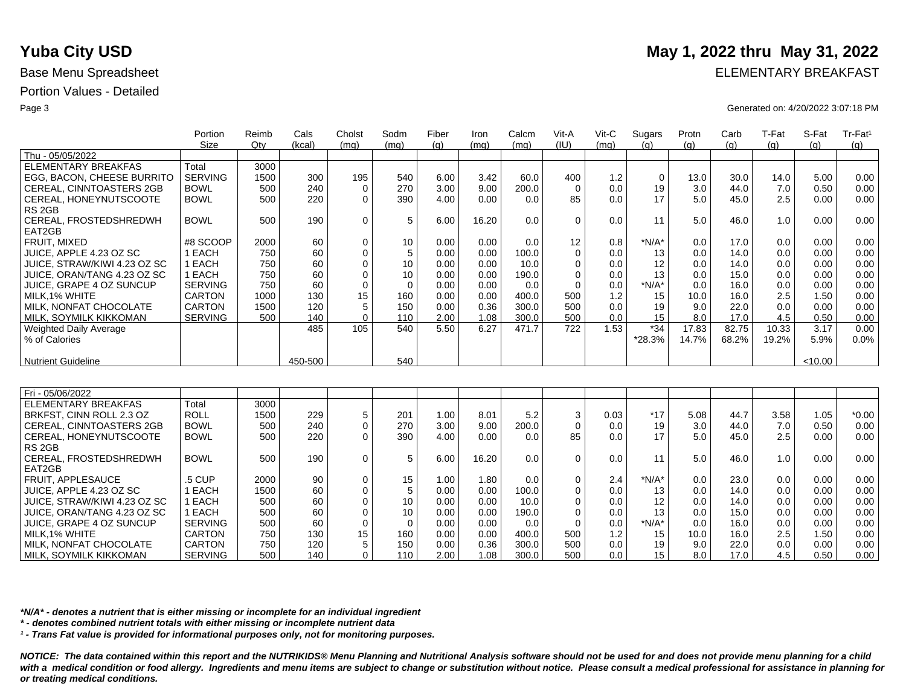| Portion                                      | Reimb | Cals    | Cholst   | Sodm     | Fiber | Iron  | Calcm | Vit-A    | Vit-C | Sugars | Protn | Carb  | T-Fat             | S-Fat   | Tr-Fat <sup>1</sup> |
|----------------------------------------------|-------|---------|----------|----------|-------|-------|-------|----------|-------|--------|-------|-------|-------------------|---------|---------------------|
| Size                                         | Qtv   | (kcal)  | (mq)     | (mq)     | (q)   | (mq)  | (mq)  | (IU)     | (mq)  | (a)    | (q)   | (g)   | $\left( q\right)$ | (q)     | (q)                 |
| Thu - 05/05/2022                             |       |         |          |          |       |       |       |          |       |        |       |       |                   |         |                     |
| Total<br>ELEMENTARY BREAKFAS                 | 3000  |         |          |          |       |       |       |          |       |        |       |       |                   |         |                     |
| EGG, BACON, CHEESE BURRITO<br><b>SERVING</b> | 1500  | 300     | 195      | 540      | 6.00  | 3.42  | 60.0  | 400      | 1.2   | 0      | 13.0  | 30.0  | 14.0              | 5.00    | 0.00                |
| CEREAL, CINNTOASTERS 2GB<br><b>BOWL</b>      | 500   | 240     | $\Omega$ | 270      | 3.00  | 9.00  | 200.0 | $\Omega$ | 0.0   | 19     | 3.0   | 44.0  | 7.0               | 0.50    | 0.00                |
| <b>BOWL</b><br>CEREAL, HONEYNUTSCOOTE        | 500   | 220     | $\Omega$ | 390      | 4.00  | 0.00  | 0.0   | 85       | 0.0   | 17     | 5.0   | 45.0  | 2.5               | 0.00    | 0.00                |
| RS <sub>2GB</sub>                            |       |         |          |          |       |       |       |          |       |        |       |       |                   |         |                     |
| CEREAL, FROSTEDSHREDWH<br><b>BOWL</b>        | 500   | 190     | $\Omega$ | 5        | 6.00  | 16.20 | 0.0   | 0        | 0.0   | 11     | 5.0   | 46.0  | 1.0               | 0.00    | 0.00                |
| EAT2GB                                       |       |         |          |          |       |       |       |          |       |        |       |       |                   |         |                     |
| FRUIT. MIXED<br>#8 SCOOP                     | 2000  | 60      | $\Omega$ | 10       | 0.00  | 0.00  | 0.0   | 12       | 0.8   | *N/A*  | 0.0   | 17.0  | 0.0               | 0.00    | 0.00                |
| 1 EACH<br>JUICE. APPLE 4.23 OZ SC            | 750   | 60      | $\Omega$ | 5        | 0.00  | 0.00  | 100.0 |          | 0.0   | 13     | 0.0   | 14.0  | 0.0               | 0.00    | 0.00                |
| JUICE, STRAW/KIWI 4.23 OZ SC<br>1 EACH       | 750   | 60      |          | 10       | 0.00  | 0.00  | 10.0  |          | 0.0   | 12     | 0.0   | 14.0  | 0.0               | 0.00    | 0.00                |
| JUICE, ORAN/TANG 4.23 OZ SC<br>1 EACH        | 750   | 60      |          | 10       | 0.00  | 0.00  | 190.0 |          | 0.0   | 13     | 0.0   | 15.0  | 0.0               | 0.00    | 0.00                |
| <b>SERVING</b><br>JUICE, GRAPE 4 OZ SUNCUP   | 750   | 60      | $\Omega$ | $\Omega$ | 0.00  | 0.00  | 0.0   |          | 0.0   | *N/A*  | 0.0   | 16.0  | 0.0               | 0.00    | 0.00                |
| <b>CARTON</b><br>MILK.1% WHITE               | 1000  | 130     | 15       | 160      | 0.00  | 0.00  | 400.0 | 500      | 1.2   | 15     | 10.0  | 16.0  | 2.5               | 1.50    | 0.00                |
| MILK. NONFAT CHOCOLATE<br>CARTON             | 1500  | 120     |          | 150      | 0.00  | 0.36  | 300.0 | 500      | 0.0   | 19     | 9.0   | 22.0  | 0.0               | 0.00    | 0.00                |
| MILK, SOYMILK KIKKOMAN<br><b>SERVING</b>     | 500   | 140     | $\Omega$ | 110      | 2.00  | 1.08  | 300.0 | 500      | 0.0   | 15     | 8.0   | 17.0  | 4.5               | 0.50    | 0.00                |
| Weighted Daily Average                       |       | 485     | 105      | 540      | 5.50  | 6.27  | 471.7 | 722      | 1.53  | $*34$  | 17.83 | 82.75 | 10.33             | 3.17    | 0.00                |
| % of Calories                                |       |         |          |          |       |       |       |          |       | *28.3% | 14.7% | 68.2% | 19.2%             | 5.9%    | 0.0%                |
|                                              |       |         |          |          |       |       |       |          |       |        |       |       |                   |         |                     |
| <b>Nutrient Guideline</b>                    |       | 450-500 |          | 540      |       |       |       |          |       |        |       |       |                   | < 10.00 |                     |

| Fri - 05/06/2022             |                |      |     |    |                 |      |       |       |          |      |         |      |      |      |      |         |
|------------------------------|----------------|------|-----|----|-----------------|------|-------|-------|----------|------|---------|------|------|------|------|---------|
| ELEMENTARY BREAKFAS          | Total          | 3000 |     |    |                 |      |       |       |          |      |         |      |      |      |      |         |
| BRKFST, CINN ROLL 2.3 OZ     | ROLL           | 1500 | 229 | 5  | 201             | 1.00 | 8.01  | 5.2   | 3        | 0.03 | $*17$   | 5.08 | 44.7 | 3.58 | 1.05 | $*0.00$ |
| CEREAL, CINNTOASTERS 2GB     | <b>BOWL</b>    | 500  | 240 | 0  | 270             | 3.00 | 9.00  | 200.0 |          | 0.0  | 19      | 3.0  | 44.0 | 7.0  | 0.50 | 0.00    |
| CEREAL, HONEYNUTSCOOTE       | <b>BOWL</b>    | 500  | 220 | 0  | 390             | 4.00 | 0.00  | 0.0   | 85       | 0.0  | 17      | 5.0  | 45.0 | 2.5  | 0.00 | 0.00    |
| RS 2GB                       |                |      |     |    |                 |      |       |       |          |      |         |      |      |      |      |         |
| CEREAL, FROSTEDSHREDWH       | <b>BOWL</b>    | 500  | 190 | 0  | 5               | 6.00 | 16.20 | 0.0   | $\Omega$ | 0.0  |         | 5.0  | 46.0 | 1.0  | 0.00 | 0.00    |
| EAT2GB                       |                |      |     |    |                 |      |       |       |          |      |         |      |      |      |      |         |
| <b>FRUIT, APPLESAUCE</b>     | .5 CUP         | 2000 | 90  | 0  | 15              | 1.00 | 1.80  | 0.0   | 0        | 2.4  | $*N/A*$ | 0.0  | 23.0 | 0.0  | 0.00 | 0.00    |
| JUICE, APPLE 4.23 OZ SC      | EACH           | 1500 | 60  | 0  |                 | 0.00 | 0.00  | 100.0 |          | 0.0  | 13      | 0.0  | 14.0 | 0.0  | 0.00 | 0.00    |
| JUICE. STRAW/KIWI 4.23 OZ SC | EACH           | 500  | 60  |    | 10              | 0.00 | 0.00  | 10.0  |          | 0.0  | 12      | 0.0  | 14.0 | 0.0  | 0.00 | 0.00    |
| JUICE, ORAN/TANG 4.23 OZ SC  | I EACH         | 500  | 60  |    | 10 <sup>°</sup> | 0.00 | 0.00  | 190.0 |          | 0.0  | 13      | 0.0  | 15.0 | 0.0  | 0.00 | 0.00    |
| JUICE, GRAPE 4 OZ SUNCUP     | <b>SERVING</b> | 500  | 60  | 0  |                 | 0.00 | 0.00  | 0.0   | $\Omega$ | 0.0  | $*N/A*$ | 0.0  | 16.0 | 0.0  | 0.00 | 0.00    |
| MILK.1% WHITE                | <b>CARTON</b>  | 750  | 130 | 15 | 160             | 0.00 | 0.00  | 400.0 | 500      | 1.2  | 15      | 10.0 | 16.0 | 2.5  | 1.50 | 0.00    |
| MILK. NONFAT CHOCOLATE       | CARTON         | 750  | 120 |    | 150             | 0.00 | 0.36  | 300.0 | 500      | 0.0  | 19      | 9.0  | 22.0 | 0.0  | 0.00 | 0.00    |
| MILK, SOYMILK KIKKOMAN       | <b>SERVING</b> | 500  | 140 | 0  | 110             | 2.00 | 1.08  | 300.0 | 500      | 0.0  | 15      | 8.0  | 17.0 | 4.5  | 0.50 | 0.00    |

*\*N/A\* - denotes a nutrient that is either missing or incomplete for an individual ingredient*

*\* - denotes combined nutrient totals with either missing or incomplete nutrient data*

*¹ - Trans Fat value is provided for informational purposes only, not for monitoring purposes.*

*NOTICE: The data contained within this report and the NUTRIKIDS® Menu Planning and Nutritional Analysis software should not be used for and does not provide menu planning for a child*  with a medical condition or food allergy. Ingredients and menu items are subject to change or substitution without notice. Please consult a medical professional for assistance in planning for *or treating medical conditions.*

## **Yuba City USD** May 1, 2022 thru May 31, 2022

Base Menu Spreadsheet **ELEMENTARY BREAKFAST** 

Page 3 Generated on: 4/20/2022 3:07:18 PM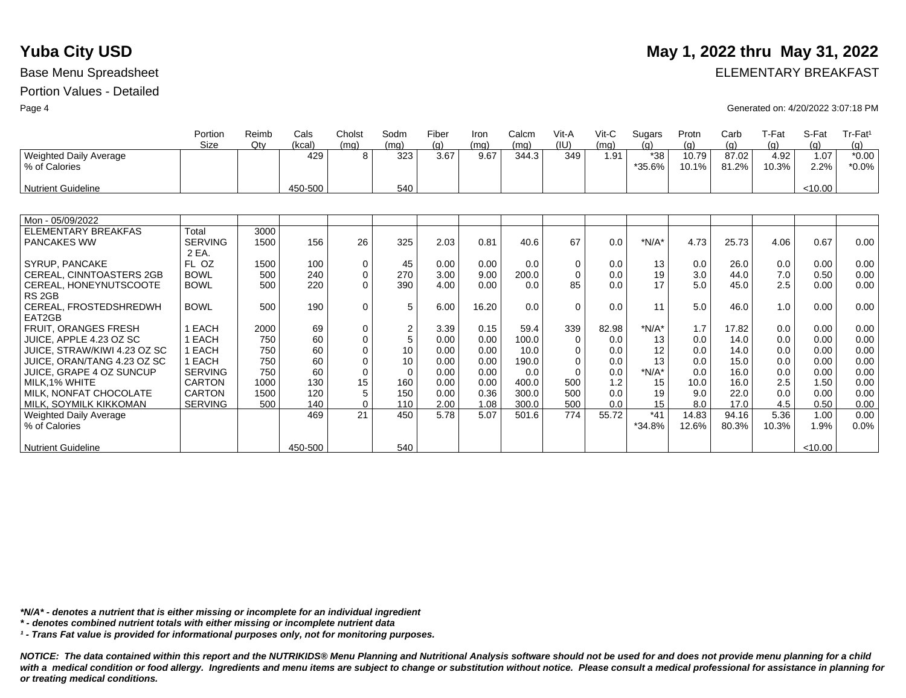|                                                | Portion<br><b>Size</b>  | Reimb<br>Qty | Cals<br>(kcal) | Cholst      | Sodm           | Fiber       | Iron         | Calcm | Vit-A<br>(IU) | $V$ it-C     | Sugars<br>(a) | Protn        | Carb         | T-Fat       | S-Fat       | Tr-Fat <sup>1</sup> |
|------------------------------------------------|-------------------------|--------------|----------------|-------------|----------------|-------------|--------------|-------|---------------|--------------|---------------|--------------|--------------|-------------|-------------|---------------------|
|                                                |                         |              | 429            | (mq)<br>8   | (mq)<br>323    | (q)<br>3.67 | (mq)<br>9.67 | (mq)  | 349           | (mq)<br>1.91 | $*38$         | (q)<br>10.79 | (q)<br>87.02 | (a)<br>4.92 | (q)<br>1.07 | (q)<br>$*0.00$      |
| <b>Weighted Daily Average</b><br>% of Calories |                         |              |                |             |                |             |              | 344.3 |               |              | *35.6%        | 10.1%        | 81.2%        | 10.3%       | 2.2%        | $*0.0\%$            |
| <b>Nutrient Guideline</b>                      |                         |              | 450-500        |             | 540            |             |              |       |               |              |               |              |              |             | < 10.00     |                     |
|                                                |                         |              |                |             |                |             |              |       |               |              |               |              |              |             |             |                     |
| Mon - 05/09/2022                               |                         |              |                |             |                |             |              |       |               |              |               |              |              |             |             |                     |
| <b>ELEMENTARY BREAKFAS</b>                     | Total                   | 3000         |                |             |                |             |              |       |               |              |               |              |              |             |             |                     |
| <b>PANCAKES WW</b>                             | <b>SERVING</b><br>2 EA. | 1500         | 156            | 26          | 325            | 2.03        | 0.81         | 40.6  | 67            | 0.0          | $*N/A*$       | 4.73         | 25.73        | 4.06        | 0.67        | 0.00                |
| SYRUP, PANCAKE                                 | FL OZ                   | 1500         | 100            | 0           | 45             | 0.00        | 0.00         | 0.0   | $\Omega$      | 0.0          | 13            | 0.0          | 26.0         | 0.0         | 0.00        | 0.00                |
| CEREAL, CINNTOASTERS 2GB                       | <b>BOWL</b>             | 500          | 240            | $\pmb{0}$   | 270            | 3.00        | 9.00         | 200.0 | $\Omega$      | 0.0          | 19            | 3.0          | 44.0         | 7.0         | 0.50        | 0.00                |
| CEREAL, HONEYNUTSCOOTE                         | <b>BOWL</b>             | 500          | 220            | $\Omega$    | 390            | 4.00        | 0.00         | 0.0   | 85            | 0.0          | 17            | 5.0          | 45.0         | 2.5         | 0.00        | 0.00                |
| RS <sub>2GB</sub>                              |                         |              |                |             |                |             |              |       |               |              |               |              |              |             |             |                     |
| CEREAL, FROSTEDSHREDWH                         | <b>BOWL</b>             | 500          | 190            | $\mathbf 0$ | 5              | 6.00        | 16.20        | 0.0   | $\Omega$      | 0.0          | 11            | 5.0          | 46.0         | 1.0         | 0.00        | 0.00                |
| EAT2GB                                         |                         |              |                |             |                |             |              |       |               |              |               |              |              |             |             |                     |
| FRUIT, ORANGES FRESH                           | 1 EACH                  | 2000         | 69             | $\pmb{0}$   | $\overline{2}$ | 3.39        | 0.15         | 59.4  | 339           | 82.98        | $*N/A*$       | 1.7          | 17.82        | 0.0         | 0.00        | 0.00                |
| JUICE, APPLE 4.23 OZ SC                        | 1 EACH                  | 750          | 60             | $\pmb{0}$   | 5              | 0.00        | 0.00         | 100.0 | $\Omega$      | 0.0          | 13            | 0.0          | 14.0         | 0.0         | 0.00        | 0.00                |
| JUICE, STRAW/KIWI 4.23 OZ SC                   | 1 EACH                  | 750          | 60             | $\mathbf 0$ | 10             | 0.00        | 0.00         | 10.0  | $\Omega$      | 0.0          | 12            | 0.0          | 14.0         | 0.0         | 0.00        | 0.00                |
| JUICE, ORAN/TANG 4.23 OZ SC                    | 1 EACH                  | 750          | 60             | $\mathbf 0$ | 10             | 0.00        | 0.00         | 190.0 | $\Omega$      | 0.0          | 13            | 0.0          | 15.0         | 0.0         | 0.00        | 0.00                |
| <b>JUICE, GRAPE 4 OZ SUNCUP</b>                | <b>SERVING</b>          | 750          | 60             | $\mathbf 0$ | $\Omega$       | 0.00        | 0.00         | 0.0   | $\Omega$      | 0.0          | $*N/A*$       | 0.0          | 16.0         | 0.0         | 0.00        | 0.00                |
| MILK.1% WHITE                                  | <b>CARTON</b>           | 1000         | 130            | 15          | 160            | 0.00        | 0.00         | 400.0 | 500           | 1.2          | 15            | 10.0         | 16.0         | 2.5         | 1.50        | 0.00                |
| MILK. NONFAT CHOCOLATE                         | CARTON                  | 1500         | 120            | 5           | 150            | 0.00        | 0.36         | 300.0 | 500           | 0.0          | 19            | 9.0          | 22.0         | 0.0         | 0.00        | 0.00                |
| MILK, SOYMILK KIKKOMAN                         | <b>SERVING</b>          | 500          | 140            | $\mathbf 0$ | 110            | 2.00        | 1.08         | 300.0 | 500           | 0.0          | 15            | 8.0          | 17.0         | 4.5         | 0.50        | 0.00                |
| <b>Weighted Daily Average</b>                  |                         |              | 469            | 21          | 450            | 5.78        | 5.07         | 501.6 | 774           | 55.72        | $*41$         | 14.83        | 94.16        | 5.36        | 1.00        | 0.00                |
| % of Calories                                  |                         |              |                |             |                |             |              |       |               |              | *34.8%        | 12.6%        | 80.3%        | 10.3%       | 1.9%        | 0.0%                |
| <b>Nutrient Guideline</b>                      |                         |              | 450-500        |             | 540            |             |              |       |               |              |               |              |              |             | < 10.00     |                     |

*\*N/A\* - denotes a nutrient that is either missing or incomplete for an individual ingredient*

*\* - denotes combined nutrient totals with either missing or incomplete nutrient data*

*¹ - Trans Fat value is provided for informational purposes only, not for monitoring purposes.*

*NOTICE: The data contained within this report and the NUTRIKIDS® Menu Planning and Nutritional Analysis software should not be used for and does not provide menu planning for a child*  with a medical condition or food allergy. Ingredients and menu items are subject to change or substitution without notice. Please consult a medical professional for assistance in planning for *or treating medical conditions.*

### **Yuba City USD** May 1, 2022 thru May 31, 2022

Base Menu Spreadsheet **ELEMENTARY BREAKFAST** 

Page 4 Generated on: 4/20/2022 3:07:18 PM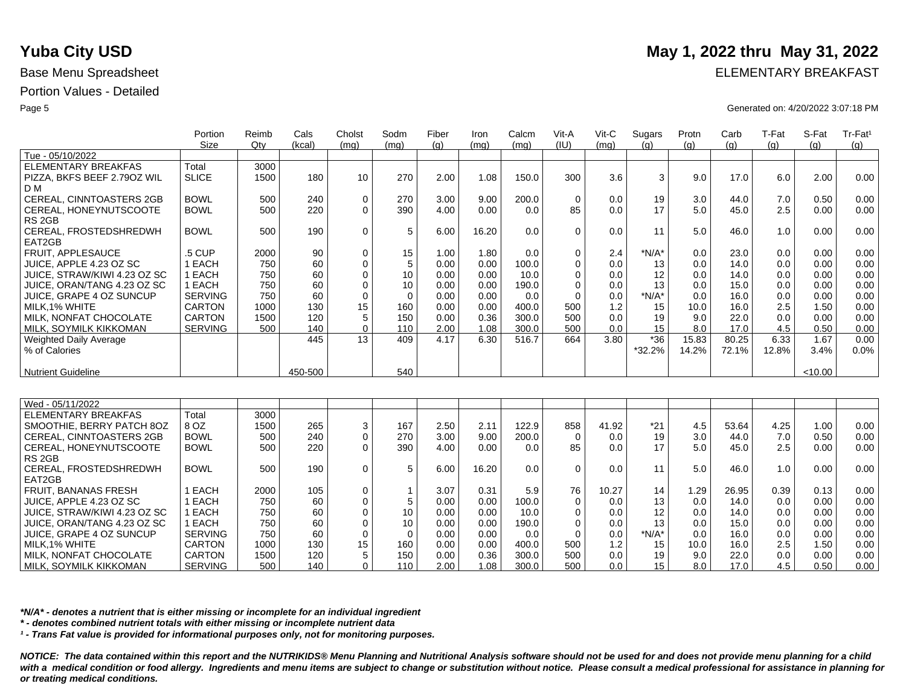|                                 | Portion<br>Size | Reimb<br>Qtv | Cals<br>(kcal) | Cholst         | Sodm     | Fiber | Iron  | Calcm | Vit-A<br>(IU) | Vit-C | Sugars<br>(a) | Protn<br>(a) | Carb<br>(q) | T-Fat<br>(q) | S-Fat<br>(q) | Tr-Fat <sup>1</sup> |
|---------------------------------|-----------------|--------------|----------------|----------------|----------|-------|-------|-------|---------------|-------|---------------|--------------|-------------|--------------|--------------|---------------------|
| Tue - 05/10/2022                |                 |              |                | (mq)           | (mq)     | (q)   | (mg)  | (mq)  |               | (mq)  |               |              |             |              |              | (q)                 |
| ELEMENTARY BREAKFAS             | Total           | 3000         |                |                |          |       |       |       |               |       |               |              |             |              |              |                     |
| PIZZA, BKFS BEEF 2.790Z WIL     | <b>SLICE</b>    | 1500         | 180            | 10             | 270      | 2.00  | 1.08  | 150.0 | 300           | 3.6   | 3             | 9.0          | 17.0        | 6.0          | 2.00         | 0.00                |
| D M                             |                 |              |                |                |          |       |       |       |               |       |               |              |             |              |              |                     |
| CEREAL, CINNTOASTERS 2GB        | <b>BOWL</b>     | 500          | 240            | $\mathbf 0$    | 270      | 3.00  | 9.00  | 200.0 | $\Omega$      | 0.0   | 19            | 3.0          | 44.0        | 7.0          | 0.50         | 0.00                |
| CEREAL, HONEYNUTSCOOTE          | <b>BOWL</b>     | 500          | 220            | $\Omega$       | 390      | 4.00  | 0.00  | 0.0   | 85            | 0.0   | 17            | 5.0          | 45.0        | 2.5          | 0.00         | 0.00                |
| RS 2GB                          |                 |              |                |                |          |       |       |       |               |       |               |              |             |              |              |                     |
| CEREAL, FROSTEDSHREDWH          | <b>BOWL</b>     | 500          | 190            | $\mathbf 0$    | 5        | 6.00  | 16.20 | 0.0   | $\Omega$      | 0.0   | 11            | 5.0          | 46.0        | 1.0          | 0.00         | 0.00                |
| EAT2GB                          |                 |              |                |                |          |       |       |       |               |       |               |              |             |              |              |                     |
| <b>FRUIT, APPLESAUCE</b>        | 5 CUP           | 2000         | 90             | 0              | 15       | 1.00  | 1.80  | 0.0   |               | 2.4   | $*N/A*$       | 0.0          | 23.0        | 0.0          | 0.00         | 0.00                |
| JUICE, APPLE 4.23 OZ SC         | EACH            | 750          | 60             | $\Omega$       | 5        | 0.00  | 0.00  | 100.0 |               | 0.0   | 13            | 0.0          | 14.0        | 0.0          | 0.00         | 0.00                |
| JUICE, STRAW/KIWI 4.23 OZ SC    | EACH            | 750          | 60             |                | 10       | 0.00  | 0.00  | 10.0  |               | 0.0   | 12            | 0.0          | 14.0        | 0.0          | 0.00         | 0.00                |
| JUICE, ORAN/TANG 4.23 OZ SC     | EACH            | 750          | 60             |                | 10       | 0.00  | 0.00  | 190.0 |               | 0.0   | 13            | 0.0          | 15.0        | 0.0          | 0.00         | 0.00                |
| <b>JUICE, GRAPE 4 OZ SUNCUP</b> | <b>SERVING</b>  | 750          | 60             | $\mathbf 0$    | $\Omega$ | 0.00  | 0.00  | 0.0   |               | 0.0   | $*N/A*$       | 0.0          | 16.0        | 0.0          | 0.00         | 0.00                |
| MILK.1% WHITE                   | <b>CARTON</b>   | 1000         | 130            | 15             | 160      | 0.00  | 0.00  | 400.0 | 500           | 1.2   | 15            | 10.0         | 16.0        | 2.5          | 1.50         | 0.00                |
| MILK. NONFAT CHOCOLATE          | <b>CARTON</b>   | 1500         | 120            | 5              | 150      | 0.00  | 0.36  | 300.0 | 500           | 0.0   | 19            | 9.0          | 22.0        | 0.0          | 0.00         | 0.00                |
| MILK, SOYMILK KIKKOMAN          | <b>SERVING</b>  | 500          | 140            | 0 <sub>1</sub> | 110      | 2.00  | 1.08  | 300.0 | 500           | 0.0   | 15            | 8.0          | 17.0        | 4.5          | 0.50         | 0.00                |
| <b>Weighted Daily Average</b>   |                 |              | 445            | 13             | 409      | 4.17  | 6.30  | 516.7 | 664           | 3.80  | $*36$         | 15.83        | 80.25       | 6.33         | 1.67         | 0.00                |
| % of Calories                   |                 |              |                |                |          |       |       |       |               |       | *32.2%        | 14.2%        | 72.1%       | 12.8%        | 3.4%         | 0.0%                |
|                                 |                 |              |                |                |          |       |       |       |               |       |               |              |             |              |              |                     |
| <b>Nutrient Guideline</b>       |                 |              | 450-500        |                | 540      |       |       |       |               |       |               |              |             |              | < 10.00      |                     |

| Wed - 05/11/2022             |                |      |     |                 |     |      |       |       |             |       |         |      |       |      |      |                   |
|------------------------------|----------------|------|-----|-----------------|-----|------|-------|-------|-------------|-------|---------|------|-------|------|------|-------------------|
| ELEMENTARY BREAKFAS          | Total          | 3000 |     |                 |     |      |       |       |             |       |         |      |       |      |      |                   |
| SMOOTHIE. BERRY PATCH 8OZ    | 8 OZ           | 1500 | 265 | 3               | 167 | 2.50 | 2.11  | 122.9 | 858         | 41.92 | $*21$   | 4.5  | 53.64 | 4.25 | 1.00 | 0.00              |
| CEREAL, CINNTOASTERS 2GB     | <b>BOWL</b>    | 500  | 240 | 0               | 270 | 3.00 | 9.00  | 200.0 | 0           | 0.0   | 19      | 3.0  | 44.0  | 7.0  | 0.50 | 0.00              |
| CEREAL, HONEYNUTSCOOTE       | <b>BOWL</b>    | 500  | 220 | 0               | 390 | 4.00 | 0.00  | 0.0   | 85          | 0.0   | 17      | 5.0  | 45.0  | 2.5  | 0.00 | 0.00              |
| RS <sub>2GB</sub>            |                |      |     |                 |     |      |       |       |             |       |         |      |       |      |      |                   |
| CEREAL, FROSTEDSHREDWH       | <b>BOWL</b>    | 500  | 190 | 0               |     | 6.00 | 16.20 | 0.0   | 0           | 0.0   |         | 5.0  | 46.0  | 1.0  | 0.00 | 0.00              |
| EAT2GB                       |                |      |     |                 |     |      |       |       |             |       |         |      |       |      |      |                   |
| <b>FRUIT, BANANAS FRESH</b>  | EACH           | 2000 | 105 | 0               |     | 3.07 | 0.31  | 5.9   | 76          | 10.27 | 14      | .29  | 26.95 | 0.39 | 0.13 | 0.00 <sub>1</sub> |
| JUICE. APPLE 4.23 OZ SC      | EACH           | 750  | 60  |                 |     | 0.00 | 0.00  | 100.0 | $\mathbf 0$ | 0.0   | 13      | 0.0  | 14.0  | 0.0  | 0.00 | 0.00              |
| JUICE. STRAW/KIWI 4.23 OZ SC | EACH           | 750  | 60  |                 | 10  | 0.00 | 0.00  | 10.0  | 0           | 0.0   | 12      | 0.0  | 14.0  | 0.0  | 0.00 | 0.00              |
| JUICE, ORAN/TANG 4.23 OZ SC  | EACH           | 750  | 60  |                 | 10  | 0.00 | 0.00  | 190.0 | 0           | 0.0   | 13      | 0.0  | 15.0  | 0.0  | 0.00 | 0.00              |
| JUICE, GRAPE 4 OZ SUNCUP     | <b>SERVING</b> | 750  | 60  |                 |     | 0.00 | 0.00  | 0.0   | $\Omega$    | 0.0   | $*N/A*$ | 0.0  | 16.0  | 0.0  | 0.00 | 0.00              |
| MILK.1% WHITE                | <b>CARTON</b>  | 1000 | 130 | 15 <sub>1</sub> | 160 | 0.00 | 0.00  | 400.0 | 500         | 1.2   | 15      | 10.0 | 16.0  | 2.5  | 1.50 | 0.00              |
| MILK, NONFAT CHOCOLATE       | CARTON         | 1500 | 120 | 5               | 150 | 0.00 | 0.36  | 300.0 | 500         | 0.0   | 19      | 9.0  | 22.0  | 0.0  | 0.00 | 0.00              |
| MILK. SOYMILK KIKKOMAN       | <b>SERVING</b> | 500  | 140 | $\Omega$        | 110 | 2.00 | 1.08  | 300.0 | 500         | 0.0   | 15      | 8.0  | 17.0  | 4.5  | 0.50 | 0.00              |

*\*N/A\* - denotes a nutrient that is either missing or incomplete for an individual ingredient*

*\* - denotes combined nutrient totals with either missing or incomplete nutrient data*

*¹ - Trans Fat value is provided for informational purposes only, not for monitoring purposes.*

*NOTICE: The data contained within this report and the NUTRIKIDS® Menu Planning and Nutritional Analysis software should not be used for and does not provide menu planning for a child*  with a medical condition or food allergy. Ingredients and menu items are subject to change or substitution without notice. Please consult a medical professional for assistance in planning for *or treating medical conditions.*

## **Yuba City USD** May 1, 2022 thru May 31, 2022

Base Menu Spreadsheet **ELEMENTARY BREAKFAST** 

Page 5 Generated on: 4/20/2022 3:07:18 PM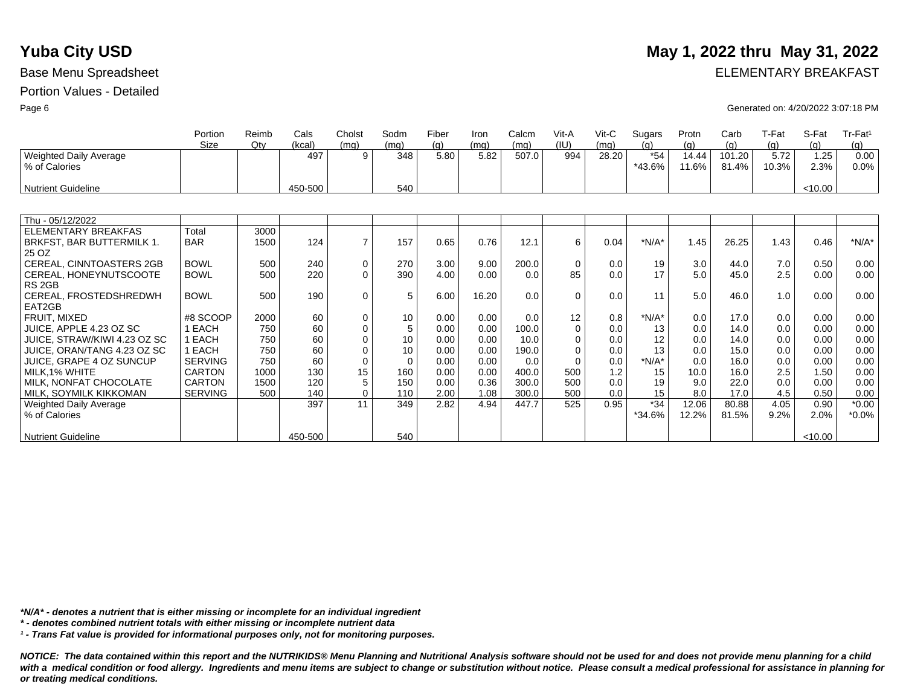|                                                | Portion<br><b>Size</b> | Reimb<br>$Q$ ty | Cals<br>(kcal) | Cholst<br>(mg) | Sodm<br>(mg) | Fiber<br>(q) | <b>Iron</b><br>(mq) | Calcm<br>(mq) | Vit-A<br>(IU) | $V$ it-C<br>(mq) | Sugars<br>(a)   | Protn<br>(q)   | Carb<br>(a)     | T-Fat<br>(q)  | S-Fat<br>(a) | $Tr-Fat1$<br>(g) |
|------------------------------------------------|------------------------|-----------------|----------------|----------------|--------------|--------------|---------------------|---------------|---------------|------------------|-----------------|----------------|-----------------|---------------|--------------|------------------|
| <b>Weighted Daily Average</b><br>% of Calories |                        |                 | 497            | 9              | 348          | 5.80         | 5.82                | 507.0         | 994           | 28.20            | $*54$<br>*43.6% | 14.44<br>11.6% | 101.20<br>81.4% | 5.72<br>10.3% | 1.25<br>2.3% | 0.00<br>0.0%     |
| Nutrient Guideline                             |                        |                 | 450-500        |                | 540          |              |                     |               |               |                  |                 |                |                 |               | < 10.00      |                  |
|                                                |                        |                 |                |                |              |              |                     |               |               |                  |                 |                |                 |               |              |                  |
| Thu - 05/12/2022                               |                        |                 |                |                |              |              |                     |               |               |                  |                 |                |                 |               |              |                  |
| <b>ELEMENTARY BREAKFAS</b>                     | Total                  | 3000            |                |                |              |              |                     |               |               |                  |                 |                |                 |               |              |                  |
| BRKFST, BAR BUTTERMILK 1.                      | <b>BAR</b>             | 1500            | 124            | $\overline{7}$ | 157          | 0.65         | 0.76                | 12.1          | 6             | 0.04             | $*N/A*$         | 1.45           | 26.25           | 1.43          | 0.46         | $*N/A*$          |
| 25 OZ                                          |                        |                 |                |                |              |              |                     |               |               |                  |                 |                |                 |               |              |                  |
| CEREAL, CINNTOASTERS 2GB                       | <b>BOWL</b>            | 500             | 240            | $\mathbf 0$    | 270          | 3.00         | 9.00                | 200.0         | $\mathbf 0$   | 0.0              | 19              | 3.0            | 44.0            | 7.0           | 0.50         | 0.00             |
| CEREAL, HONEYNUTSCOOTE                         | <b>BOWL</b>            | 500             | 220            | $\Omega$       | 390          | 4.00         | 0.00                | 0.0           | 85            | 0.0              | 17              | 5.0            | 45.0            | 2.5           | 0.00         | 0.00             |
| RS <sub>2GB</sub>                              |                        |                 |                |                |              |              |                     |               |               |                  |                 |                |                 |               |              |                  |
| CEREAL, FROSTEDSHREDWH                         | <b>BOWL</b>            | 500             | 190            | $\mathbf 0$    | 5            | 6.00         | 16.20               | 0.0           | $\Omega$      | 0.0              | 11              | 5.0            | 46.0            | 1.0           | 0.00         | 0.00             |
| EAT2GB                                         |                        |                 |                |                |              |              |                     |               |               |                  |                 |                |                 |               |              |                  |
| FRUIT, MIXED                                   | #8 SCOOP               | 2000            | 60             | $\mathbf 0$    | 10           | 0.00         | 0.00                | 0.0           | 12            | 0.8              | $*N/A*$         | 0.0            | 17.0            | 0.0           | 0.00         | 0.00             |
| JUICE, APPLE 4.23 OZ SC                        | 1 EACH                 | 750             | 60             | $\mathbf 0$    | 5            | 0.00         | 0.00                | 100.0         | $\Omega$      | 0.0              | 13              | 0.0            | 14.0            | 0.0           | 0.00         | 0.00             |
| JUICE, STRAW/KIWI 4.23 OZ SC                   | 1 EACH                 | 750             | 60             | $\mathbf 0$    | 10           | 0.00         | 0.00                | 10.0          | 0             | 0.0              | 12              | 0.0            | 14.0            | 0.0           | 0.00         | 0.00             |
| JUICE, ORAN/TANG 4.23 OZ SC                    | 1 EACH                 | 750             | 60             | $\mathbf 0$    | 10           | 0.00         | 0.00                | 190.0         | $\Omega$      | 0.0              | 13              | 0.0            | 15.0            | 0.0           | 0.00         | 0.00             |
| <b>JUICE, GRAPE 4 OZ SUNCUP</b>                | <b>SERVING</b>         | 750             | 60             | $\mathbf 0$    | 0            | 0.00         | 0.00                | 0.0           | $\Omega$      | 0.0              | $*N/A*$         | 0.0            | 16.0            | 0.0           | 0.00         | 0.00             |
| MILK, 1% WHITE                                 | <b>CARTON</b>          | 1000            | 130            | 15             | 160          | 0.00         | 0.00                | 400.0         | 500           | 1.2              | 15              | 10.0           | 16.0            | 2.5           | 1.50         | 0.00             |
| MILK, NONFAT CHOCOLATE                         | CARTON                 | 1500            | 120            | 5              | 150          | 0.00         | 0.36                | 300.0         | 500           | 0.0              | 19              | 9.0            | 22.0            | 0.0           | 0.00         | 0.00             |
| <b>MILK, SOYMILK KIKKOMAN</b>                  | <b>SERVING</b>         | 500             | 140            | $\mathbf 0$    | 110          | 2.00         | 1.08                | 300.0         | 500           | 0.0              | 15              | 8.0            | 17.0            | 4.5           | 0.50         | 0.00             |
| Weighted Daily Average                         |                        |                 | 397            | 11             | 349          | 2.82         | 4.94                | 447.7         | 525           | 0.95             | $*34$           | 12.06          | 80.88           | 4.05          | 0.90         | $*0.00$          |
| % of Calories                                  |                        |                 |                |                |              |              |                     |               |               |                  | *34.6%          | 12.2%          | 81.5%           | 9.2%          | 2.0%         | $*0.0\%$         |
|                                                |                        |                 |                |                |              |              |                     |               |               |                  |                 |                |                 |               |              |                  |
| <b>Nutrient Guideline</b>                      |                        |                 | 450-500        |                | 540          |              |                     |               |               |                  |                 |                |                 |               | < 10.00      |                  |

*\*N/A\* - denotes a nutrient that is either missing or incomplete for an individual ingredient*

*\* - denotes combined nutrient totals with either missing or incomplete nutrient data*

*¹ - Trans Fat value is provided for informational purposes only, not for monitoring purposes.*

*NOTICE: The data contained within this report and the NUTRIKIDS® Menu Planning and Nutritional Analysis software should not be used for and does not provide menu planning for a child*  with a medical condition or food allergy. Ingredients and menu items are subject to change or substitution without notice. Please consult a medical professional for assistance in planning for *or treating medical conditions.*

## **Yuba City USD** May 1, 2022 thru May 31, 2022

Base Menu Spreadsheet **ELEMENTARY BREAKFAST** 

Page 6 Generated on: 4/20/2022 3:07:18 PM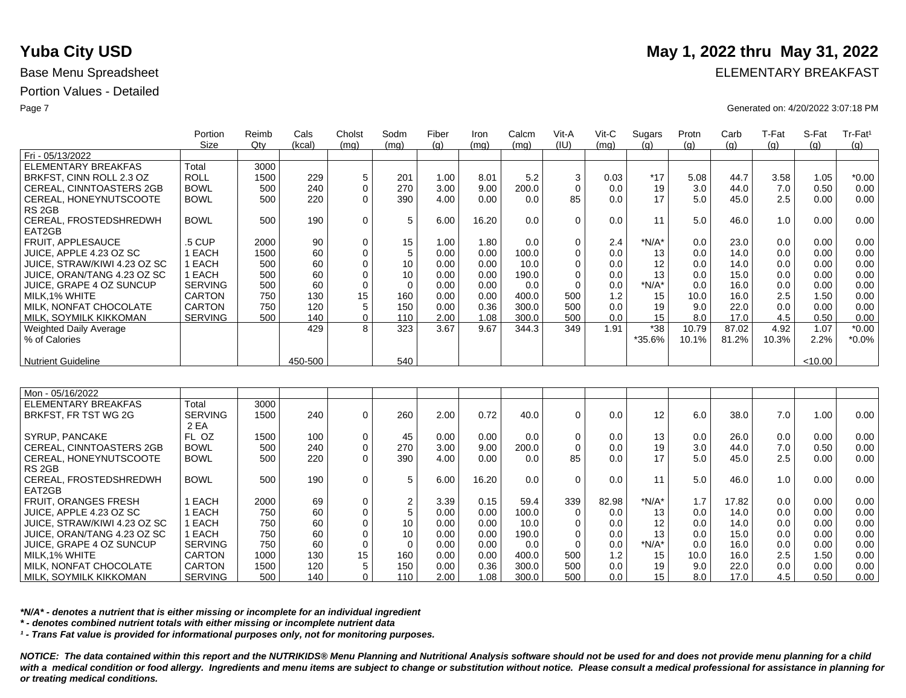|                               | Portion        | Reimb | Cals    | Cholst       | Sodm     | Fiber | Iron  | Calcm | Vit-A    | Vit-C | Sugars  | Protn | Carb  | T-Fat | S-Fat   | Tr-Fat <sup>1</sup> |
|-------------------------------|----------------|-------|---------|--------------|----------|-------|-------|-------|----------|-------|---------|-------|-------|-------|---------|---------------------|
|                               | Size           | Qtv   | (kcal)  | (mq)         | (mq)     | (q)   | (mq)  | (mq)  | (IU)     | (mq)  | (a)     | (q)   | (g)   | (q)   | (q)     | (g)                 |
| Fri - 05/13/2022              |                |       |         |              |          |       |       |       |          |       |         |       |       |       |         |                     |
| ELEMENTARY BREAKFAS           | Total          | 3000  |         |              |          |       |       |       |          |       |         |       |       |       |         |                     |
| BRKFST, CINN ROLL 2.3 OZ      | <b>ROLL</b>    | 1500  | 229     | 5            | 201      | 1.00  | 8.01  | 5.2   | 3        | 0.03  | $*17$   | 5.08  | 44.7  | 3.58  | 1.05    | $*0.00$             |
| CEREAL, CINNTOASTERS 2GB      | <b>BOWL</b>    | 500   | 240     | 0            | 270      | 3.00  | 9.00  | 200.0 |          | 0.0   | 19      | 3.0   | 44.0  | 7.0   | 0.50    | 0.00                |
| CEREAL, HONEYNUTSCOOTE        | <b>BOWL</b>    | 500   | 220     | $\Omega$     | 390      | 4.00  | 0.00  | 0.0   | 85       | 0.0   | 17      | 5.0   | 45.0  | 2.5   | 0.00    | 0.00                |
| RS 2GB                        |                |       |         |              |          |       |       |       |          |       |         |       |       |       |         |                     |
| CEREAL, FROSTEDSHREDWH        | <b>BOWL</b>    | 500   | 190     | $\Omega$     | 5        | 6.00  | 16.20 | 0.0   | $\Omega$ | 0.0   | 11      | 5.0   | 46.0  | 1.0   | 0.00    | 0.00                |
| EAT2GB                        |                |       |         |              |          |       |       |       |          |       |         |       |       |       |         |                     |
| <b>FRUIT, APPLESAUCE</b>      | .5 CUP         | 2000  | 90      | $\mathbf 0$  | 15       | 1.00  | 1.80  | 0.0   | $\Omega$ | 2.4   | $*N/A*$ | 0.0   | 23.0  | 0.0   | 0.00    | 0.00                |
| JUICE. APPLE 4.23 OZ SC       | EACH           | 1500  | 60      | $\Omega$     | 5        | 0.00  | 0.00  | 100.0 | 0        | 0.0   | 13      | 0.0   | 14.0  | 0.0   | 0.00    | 0.00                |
| JUICE, STRAW/KIWI 4.23 OZ SC  | EACH           | 500   | 60      |              | 10       | 0.00  | 0.00  | 10.0  |          | 0.0   | 12      | 0.0   | 14.0  | 0.0   | 0.00    | 0.00                |
| JUICE, ORAN/TANG 4.23 OZ SC   | EACH           | 500   | 60      |              | 10       | 0.00  | 0.00  | 190.0 |          | 0.0   | 13      | 0.0   | 15.0  | 0.0   | 0.00    | 0.00                |
| JUICE, GRAPE 4 OZ SUNCUP      | <b>SERVING</b> | 500   | 60      |              | $\Omega$ | 0.00  | 0.00  | 0.0   |          | 0.0   | $*N/A*$ | 0.0   | 16.0  | 0.0   | 0.00    | 0.00                |
| MILK, 1% WHITE                | <b>CARTON</b>  | 750   | 130     | 15           | 160      | 0.00  | 0.00  | 400.0 | 500      | 1.2   | 15      | 10.0  | 16.0  | 2.5   | 1.50    | 0.00                |
| MILK. NONFAT CHOCOLATE        | <b>CARTON</b>  | 750   | 120     | 5            | 150      | 0.00  | 0.36  | 300.0 | 500      | 0.0   | 19      | 9.0   | 22.0  | 0.0   | 0.00    | 0.00                |
| MILK, SOYMILK KIKKOMAN        | <b>SERVING</b> | 500   | 140     | $\mathbf{0}$ | 110      | 2.00  | 1.08  | 300.0 | 500      | 0.0   | 15      | 8.0   | 17.0  | 4.5   | 0.50    | 0.00                |
| <b>Weighted Daily Average</b> |                |       | 429     | 8            | 323      | 3.67  | 9.67  | 344.3 | 349      | 1.91  | $*38$   | 10.79 | 87.02 | 4.92  | 1.07    | $*0.00$             |
| % of Calories                 |                |       |         |              |          |       |       |       |          |       | *35.6%  | 10.1% | 81.2% | 10.3% | 2.2%    | $*0.0\%$            |
|                               |                |       |         |              |          |       |       |       |          |       |         |       |       |       |         |                     |
| <b>Nutrient Guideline</b>     |                |       | 450-500 |              | 540      |       |       |       |          |       |         |       |       |       | < 10.00 |                     |
|                               |                |       |         |              |          |       |       |       |          |       |         |       |       |       |         |                     |

| Mon - 05/16/2022             |                |      |     |    |                 |      |       |       |          |       |         |      |       |     |      |      |
|------------------------------|----------------|------|-----|----|-----------------|------|-------|-------|----------|-------|---------|------|-------|-----|------|------|
| ELEMENTARY BREAKFAS          | Total          | 3000 |     |    |                 |      |       |       |          |       |         |      |       |     |      |      |
| BRKFST, FR TST WG 2G         | <b>SERVING</b> | 1500 | 240 | 0  | 260             | 2.00 | 0.72  | 40.0  | 0        | 0.0   | 12      | 6.0  | 38.0  | 7.0 | 1.00 | 0.00 |
|                              | 2 EA           |      |     |    |                 |      |       |       |          |       |         |      |       |     |      |      |
| SYRUP, PANCAKE               | FL OZ          | 1500 | 100 | 0  | 45              | 0.00 | 0.00  | 0.0   | 0        | 0.0   | 13      | 0.0  | 26.0  | 0.0 | 0.00 | 0.00 |
| CEREAL, CINNTOASTERS 2GB     | <b>BOWL</b>    | 500  | 240 | 0  | 270             | 3.00 | 9.00  | 200.0 | 0        | 0.0   | 19      | 3.0  | 44.0  | 7.0 | 0.50 | 0.00 |
| CEREAL, HONEYNUTSCOOTE       | <b>BOWL</b>    | 500  | 220 | 0  | 390             | 4.00 | 0.00  | 0.0   | 85       | 0.0   | 17      | 5.0  | 45.0  | 2.5 | 0.00 | 0.00 |
| RS 2GB                       |                |      |     |    |                 |      |       |       |          |       |         |      |       |     |      |      |
| CEREAL, FROSTEDSHREDWH       | <b>BOWL</b>    | 500  | 190 | 0  | 5               | 6.00 | 16.20 | 0.0   | $\Omega$ | 0.0   | 11      | 5.0  | 46.0  | 1.0 | 0.00 | 0.00 |
| EAT2GB                       |                |      |     |    |                 |      |       |       |          |       |         |      |       |     |      |      |
| <b>FRUIT, ORANGES FRESH</b>  | EACH           | 2000 | 69  | 0  | $\overline{2}$  | 3.39 | 0.15  | 59.4  | 339      | 82.98 | $*N/A*$ | 1.7  | 17.82 | 0.0 | 0.00 | 0.00 |
| JUICE, APPLE 4.23 OZ SC      | EACH           | 750  | 60  | 0  |                 | 0.00 | 0.00  | 100.0 | 0        | 0.0   | 13      | 0.0  | 14.0  | 0.0 | 0.00 | 0.00 |
| JUICE. STRAW/KIWI 4.23 OZ SC | EACH           | 750  | 60  | 0  | 10 <sub>1</sub> | 0.00 | 0.00  | 10.0  | 0        | 0.0   | 12      | 0.0  | 14.0  | 0.0 | 0.00 | 0.00 |
| JUICE, ORAN/TANG 4.23 OZ SC  | EACH           | 750  | 60  | 0  | 10 <sub>1</sub> | 0.00 | 0.00  | 190.0 | 0        | 0.0   | 13      | 0.0  | 15.0  | 0.0 | 0.00 | 0.00 |
| JUICE, GRAPE 4 OZ SUNCUP     | <b>SERVING</b> | 750  | 60  | 0  | $\Omega$        | 0.00 | 0.00  | 0.0   | $\Omega$ | 0.0   | $*N/A*$ | 0.0  | 16.0  | 0.0 | 0.00 | 0.00 |
| MILK.1% WHITE                | <b>CARTON</b>  | 1000 | 130 | 15 | 160             | 0.00 | 0.00  | 400.0 | 500      | 1.2   | 15      | 10.0 | 16.0  | 2.5 | 1.50 | 0.00 |
| MILK. NONFAT CHOCOLATE       | CARTON         | 1500 | 120 | 5  | 150             | 0.00 | 0.36  | 300.0 | 500      | 0.0   | 19      | 9.0  | 22.0  | 0.0 | 0.00 | 0.00 |
| MILK, SOYMILK KIKKOMAN       | <b>SERVING</b> | 500  | 140 | 0  | 110             | 2.00 | 1.08  | 300.0 | 500      | 0.0   | 15      | 8.0  | 17.0  | 4.5 | 0.50 | 0.00 |

*\*N/A\* - denotes a nutrient that is either missing or incomplete for an individual ingredient*

*\* - denotes combined nutrient totals with either missing or incomplete nutrient data*

*¹ - Trans Fat value is provided for informational purposes only, not for monitoring purposes.*

*NOTICE: The data contained within this report and the NUTRIKIDS® Menu Planning and Nutritional Analysis software should not be used for and does not provide menu planning for a child*  with a medical condition or food allergy. Ingredients and menu items are subject to change or substitution without notice. Please consult a medical professional for assistance in planning for *or treating medical conditions.*

## **Yuba City USD** May 1, 2022 thru May 31, 2022

Base Menu Spreadsheet **ELEMENTARY BREAKFAST** 

Page 7 Generated on: 4/20/2022 3:07:18 PM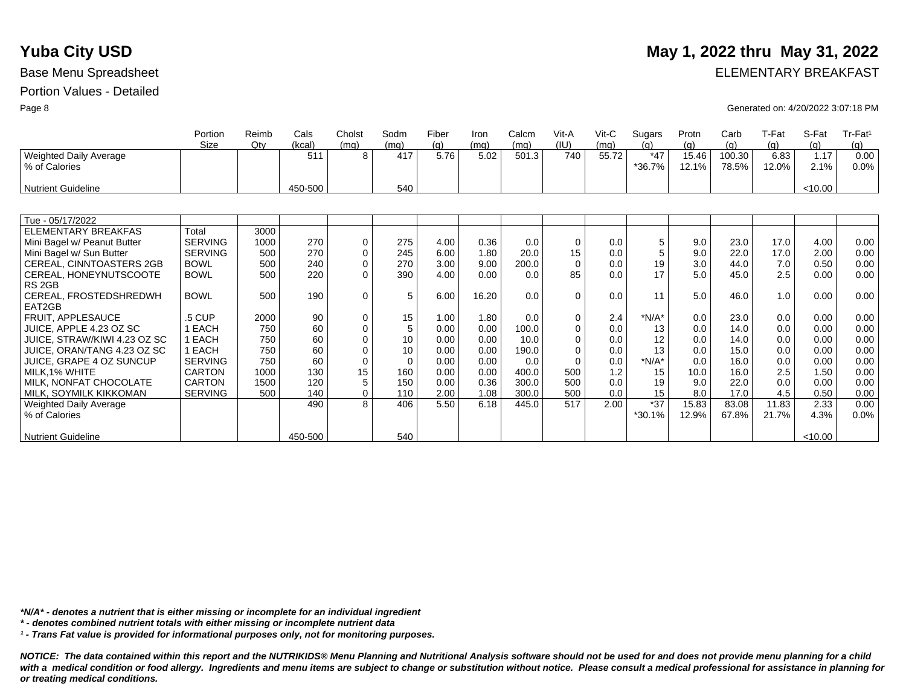|                                         | Portion<br>Size | Reimb<br>Qtv | Cals<br>(kcal) | Cholst<br>(ma) | Sodm<br>(ma)   | Fiber<br>(a) | Iron<br>(mq) | Calcm<br>(mq) | Vit-A<br>(IU) | $V$ it-C<br>(mq) | Sugars<br>(a)   | Protn<br>(q)   | Carb<br>(q)     | T-Fat<br>(q)  | S-Fat<br>(q) | Tr-Fat <sup>1</sup><br>(g) |
|-----------------------------------------|-----------------|--------------|----------------|----------------|----------------|--------------|--------------|---------------|---------------|------------------|-----------------|----------------|-----------------|---------------|--------------|----------------------------|
| Weighted Daily Average<br>% of Calories |                 |              | 511            | 8              | 417            | 5.76         | 5.02         | 501.3         | 740           | 55.72            | $*47$<br>*36.7% | 15.46<br>12.1% | 100.30<br>78.5% | 6.83<br>12.0% | 1.17<br>2.1% | 0.00<br>0.0%               |
| <b>Nutrient Guideline</b>               |                 |              | 450-500        |                | 540            |              |              |               |               |                  |                 |                |                 |               | < 10.00      |                            |
|                                         |                 |              |                |                |                |              |              |               |               |                  |                 |                |                 |               |              |                            |
| Tue - 05/17/2022                        |                 |              |                |                |                |              |              |               |               |                  |                 |                |                 |               |              |                            |
| ELEMENTARY BREAKFAS                     | Total           | 3000         |                |                |                |              |              |               |               |                  |                 |                |                 |               |              |                            |
| Mini Bagel w/ Peanut Butter             | <b>SERVING</b>  | 1000         | 270            | 0              | 275            | 4.00         | 0.36         | 0.0           | 0             | 0.0              | 5               | 9.0            | 23.0            | 17.0          | 4.00         | 0.00                       |
| Mini Bagel w/ Sun Butter                | <b>SERVING</b>  | 500          | 270            | $\mathbf 0$    | 245            | 6.00         | 1.80         | 20.0          | 15            | 0.0              | 5               | 9.0            | 22.0            | 17.0          | 2.00         | 0.00                       |
| <b>CEREAL, CINNTOASTERS 2GB</b>         | <b>BOWL</b>     | 500          | 240            | 0              | 270            | 3.00         | 9.00         | 200.0         | $\Omega$      | 0.0              | 19              | 3.0            | 44.0            | 7.0           | 0.50         | 0.00                       |
| CEREAL, HONEYNUTSCOOTE                  | <b>BOWL</b>     | 500          | 220            | $\Omega$       | 390            | 4.00         | 0.00         | 0.0           | 85            | 0.0              | 17              | 5.0            | 45.0            | 2.5           | 0.00         | 0.00                       |
| RS <sub>2GB</sub>                       |                 |              |                |                |                |              |              |               |               |                  |                 |                |                 |               |              |                            |
| CEREAL, FROSTEDSHREDWH                  | <b>BOWL</b>     | 500          | 190            | $\mathbf 0$    | 5              | 6.00         | 16.20        | 0.0           | $\Omega$      | 0.0              | 11              | 5.0            | 46.0            | 1.0           | 0.00         | 0.00                       |
| EAT2GB                                  |                 |              |                |                |                |              |              |               |               |                  |                 |                |                 |               |              |                            |
| FRUIT, APPLESAUCE                       | .5 CUP          | 2000         | 90             | 0              | 15             | 1.00         | 1.80         | 0.0           | $\mathbf 0$   | 2.4              | $*N/A*$         | 0.0            | 23.0            | 0.0           | 0.00         | 0.00                       |
| JUICE, APPLE 4.23 OZ SC                 | 1 EACH          | 750          | 60             | $\mathbf 0$    | 5              | 0.00         | 0.00         | 100.0         | $\Omega$      | 0.0              | 13              | 0.0            | 14.0            | 0.0           | 0.00         | 0.00                       |
| JUICE, STRAW/KIWI 4.23 OZ SC            | 1 EACH          | 750          | 60             | $\mathbf 0$    | 10             | 0.00         | 0.00         | 10.0          | $\mathbf 0$   | 0.0              | 12              | 0.0            | 14.0            | 0.0           | 0.00         | 0.00                       |
| JUICE, ORAN/TANG 4.23 OZ SC             | 1 EACH          | 750          | 60             | $\Omega$       | 10             | 0.00         | 0.00         | 190.0         | $\Omega$      | 0.0              | 13              | 0.0            | 15.0            | 0.0           | 0.00         | 0.00                       |
| JUICE, GRAPE 4 OZ SUNCUP                | <b>SERVING</b>  | 750          | 60             | $\mathbf 0$    | $\overline{0}$ | 0.00         | 0.00         | 0.0           | $\Omega$      | 0.0              | $*N/A*$         | 0.0            | 16.0            | 0.0           | 0.00         | 0.00                       |
| MILK, 1% WHITE                          | <b>CARTON</b>   | 1000         | 130            | 15             | 160            | 0.00         | 0.00         | 400.0         | 500           | 1.2              | 15              | 10.0           | 16.0            | 2.5           | 1.50         | 0.00                       |
| MILK, NONFAT CHOCOLATE                  | <b>CARTON</b>   | 1500         | 120            | 5              | 150            | 0.00         | 0.36         | 300.0         | 500           | 0.0              | 19              | 9.0            | 22.0            | 0.0           | 0.00         | 0.00                       |
| MILK, SOYMILK KIKKOMAN                  | <b>SERVING</b>  | 500          | 140            | $\mathbf 0$    | 110            | 2.00         | 1.08         | 300.0         | 500           | 0.0              | 15              | 8.0            | 17.0            | 4.5           | 0.50         | 0.00                       |
| <b>Weighted Daily Average</b>           |                 |              | 490            | 8              | 406            | 5.50         | 6.18         | 445.0         | 517           | 2.00             | $*37$           | 15.83          | 83.08           | 11.83         | 2.33         | 0.00                       |
| % of Calories                           |                 |              |                |                |                |              |              |               |               |                  | *30.1%          | 12.9%          | 67.8%           | 21.7%         | 4.3%         | 0.0%                       |
| <b>Nutrient Guideline</b>               |                 |              | 450-500        |                | 540            |              |              |               |               |                  |                 |                |                 |               | < 10.00      |                            |
|                                         |                 |              |                |                |                |              |              |               |               |                  |                 |                |                 |               |              |                            |

*\*N/A\* - denotes a nutrient that is either missing or incomplete for an individual ingredient*

*\* - denotes combined nutrient totals with either missing or incomplete nutrient data*

*¹ - Trans Fat value is provided for informational purposes only, not for monitoring purposes.*

*NOTICE: The data contained within this report and the NUTRIKIDS® Menu Planning and Nutritional Analysis software should not be used for and does not provide menu planning for a child*  with a medical condition or food allergy. Ingredients and menu items are subject to change or substitution without notice. Please consult a medical professional for assistance in planning for *or treating medical conditions.*

### **Yuba City USD** May 1, 2022 thru May 31, 2022

Base Menu Spreadsheet **ELEMENTARY BREAKFAST** 

Page 8 Generated on: 4/20/2022 3:07:18 PM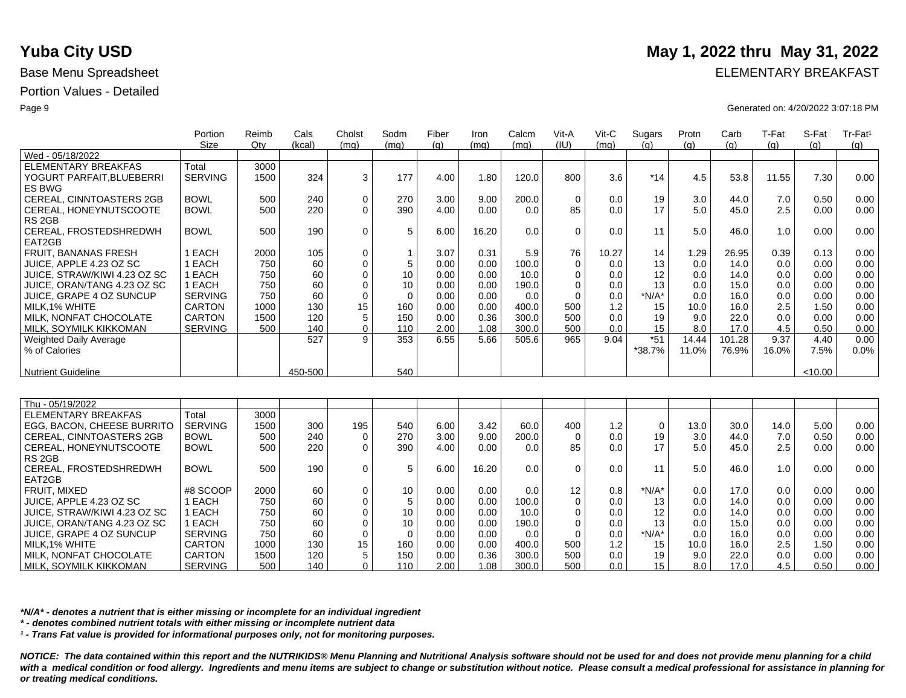|                                 | Portion<br>Size | Reimb<br>Qtv | Cals<br>(kcal) | Cholst<br>(mq) | Sodm<br>(mq) | Fiber<br>(q) | Iron<br>(mq) | Calcm<br>(mq) | Vit-A<br>(IU) | Vit-C<br>(mq) | Sugars<br>(a) | Protn<br>(q) | Carb<br>(q) | T-Fat<br>(q) | S-Fat<br>(q) | Tr-Fat <sup>1</sup><br>(g) |
|---------------------------------|-----------------|--------------|----------------|----------------|--------------|--------------|--------------|---------------|---------------|---------------|---------------|--------------|-------------|--------------|--------------|----------------------------|
| Wed - 05/18/2022                |                 |              |                |                |              |              |              |               |               |               |               |              |             |              |              |                            |
| ELEMENTARY BREAKFAS             | Total           | 3000         |                |                |              |              |              |               |               |               |               |              |             |              |              |                            |
| YOGURT PARFAIT, BLUEBERRI       | <b>SERVING</b>  | 1500         | 324            | 3              | 177          | 4.00         | 1.80         | 120.0         | 800           | 3.6           | $*14$         | 4.5          | 53.8        | 11.55        | 7.30         | 0.00                       |
| ES BWG                          |                 |              |                |                |              |              |              |               |               |               |               |              |             |              |              |                            |
| <b>CEREAL, CINNTOASTERS 2GB</b> | <b>BOWL</b>     | 500          | 240            | $\mathbf 0$    | 270          | 3.00         | 9.00         | 200.0         | $\Omega$      | 0.0           | 19            | 3.0          | 44.0        | 7.0          | 0.50         | 0.00                       |
| CEREAL, HONEYNUTSCOOTE          | <b>BOWL</b>     | 500          | 220            | $\Omega$       | 390          | 4.00         | 0.00         | 0.0           | 85            | 0.0           | 17            | 5.0          | 45.0        | 2.5          | 0.00         | 0.00                       |
| RS <sub>2GB</sub>               |                 |              |                |                |              |              |              |               |               |               |               |              |             |              |              |                            |
| CEREAL, FROSTEDSHREDWH          | <b>BOWL</b>     | 500          | 190            | $\Omega$       | 5            | 6.00         | 16.20        | 0.0           | $\Omega$      | 0.0           | 11            | 5.0          | 46.0        | 1.0          | 0.00         | 0.00                       |
| EAT2GB                          |                 |              |                |                |              |              |              |               |               |               |               |              |             |              |              |                            |
| <b>FRUIT, BANANAS FRESH</b>     | I EACH          | 2000         | 105            | $\Omega$       |              | 3.07         | 0.31         | 5.9           | 76            | 10.27         | 14            | 1.29         | 26.95       | 0.39         | 0.13         | 0.00                       |
| JUICE, APPLE 4.23 OZ SC         | 1 EACH          | 750          | 60             | $\Omega$       | 5            | 0.00         | 0.00         | 100.0         | $\Omega$      | 0.0           | 13            | 0.0          | 14.0        | 0.0          | 0.00         | 0.00                       |
| JUICE, STRAW/KIWI 4.23 OZ SC    | 1 EACH          | 750          | 60             |                | 10           | 0.00         | 0.00         | 10.0          |               | 0.0           | 12            | 0.0          | 14.0        | 0.0          | 0.00         | 0.00                       |
| JUICE, ORAN/TANG 4.23 OZ SC     | 1 EACH          | 750          | 60             |                | 10           | 0.00         | 0.00         | 190.0         |               | 0.0           | 13            | 0.0          | 15.0        | 0.0          | 0.00         | 0.00                       |
| JUICE, GRAPE 4 OZ SUNCUP        | <b>SERVING</b>  | 750          | 60             | $\mathbf 0$    | 0            | 0.00         | 0.00         | 0.0           |               | 0.0           | *N/A*         | 0.0          | 16.0        | 0.0          | 0.00         | 0.00                       |
| MILK.1% WHITE                   | <b>CARTON</b>   | 1000         | 130            | 15             | 160          | 0.00         | 0.00         | 400.0         | 500           | 1.2           | 15            | 10.0         | 16.0        | 2.5          | 1.50         | 0.00                       |
| MILK. NONFAT CHOCOLATE          | <b>CARTON</b>   | 1500         | 120            |                | 150          | 0.00         | 0.36         | 300.0         | 500           | 0.0           | 19            | 9.0          | 22.0        | 0.0          | 0.00         | 0.00                       |
| MILK, SOYMILK KIKKOMAN          | <b>SERVING</b>  | 500          | 140            | $\mathbf{0}$   | 110          | 2.00         | 1.08         | 300.0         | 500           | 0.0           | 15            | 8.0          | 17.0        | 4.5          | 0.50         | 0.00                       |
| Weighted Daily Average          |                 |              | 527            | 9              | 353          | 6.55         | 5.66         | 505.6         | 965           | 9.04          | $*51$         | 14.44        | 101.28      | 9.37         | 4.40         | 0.00                       |
| % of Calories                   |                 |              |                |                |              |              |              |               |               |               | *38.7%        | 11.0%        | 76.9%       | 16.0%        | 7.5%         | 0.0%                       |
|                                 |                 |              |                |                |              |              |              |               |               |               |               |              |             |              |              |                            |
| <b>Nutrient Guideline</b>       |                 |              | 450-500        |                | 540          |              |              |               |               |               |               |              |             |              | < 10.00      |                            |

| Thu - 05/19/2022             |                |      |     |                  |      |      |       |       |              |     |          |      |      |      |      |      |
|------------------------------|----------------|------|-----|------------------|------|------|-------|-------|--------------|-----|----------|------|------|------|------|------|
| ELEMENTARY BREAKFAS          | Total          | 3000 |     |                  |      |      |       |       |              |     |          |      |      |      |      |      |
| EGG, BACON, CHEESE BURRITO   | <b>SERVING</b> | 1500 | 300 | 195              | 540  | 6.00 | 3.42  | 60.0  | 400          | 1.2 | $\Omega$ | 13.0 | 30.0 | 14.0 | 5.00 | 0.00 |
| CEREAL, CINNTOASTERS 2GB     | <b>BOWL</b>    | 500  | 240 | 0                | 270  | 3.00 | 9.00  | 200.0 | 0            | 0.0 | 19       | 3.0  | 44.0 | 7.0  | 0.50 | 0.00 |
| CEREAL, HONEYNUTSCOOTE       | <b>BOWL</b>    | 500  | 220 |                  | 390  | 4.00 | 0.00  | 0.0   | 85           | 0.0 | 17       | 5.0  | 45.0 | 2.5  | 0.00 | 0.00 |
| RS <sub>2GB</sub>            |                |      |     |                  |      |      |       |       |              |     |          |      |      |      |      |      |
| CEREAL, FROSTEDSHREDWH       | <b>BOWL</b>    | 500  | 190 |                  |      | 6.00 | 16.20 | 0.0   | $\mathbf{0}$ | 0.0 | 11       | 5.0  | 46.0 | 1.0  | 0.00 | 0.00 |
| EAT2GB                       |                |      |     |                  |      |      |       |       |              |     |          |      |      |      |      |      |
| FRUIT. MIXED                 | #8 SCOOP       | 2000 | 60  |                  | 10   | 0.00 | 0.00  | 0.0   | 12           | 0.8 | $*N/A*$  | 0.0  | 17.0 | 0.0  | 0.00 | 0.00 |
| JUICE. APPLE 4.23 OZ SC      | EACH           | 750  | 60  |                  |      | 0.00 | 0.00  | 100.0 | $\mathbf 0$  | 0.0 | 13       | 0.0  | 14.0 | 0.0  | 0.00 | 0.00 |
| JUICE. STRAW/KIWI 4.23 OZ SC | EACH           | 750  | 60  |                  | 10   | 0.00 | 0.00  | 10.0  | 0            | 0.0 | 12       | 0.0  | 14.0 | 0.0  | 0.00 | 0.00 |
| JUICE, ORAN/TANG 4.23 OZ SC  | EACH           | 750  | 60  |                  | 10   | 0.00 | 0.00  | 190.0 | 0            | 0.0 | 13       | 0.0  | 15.0 | 0.0  | 0.00 | 0.00 |
| JUICE, GRAPE 4 OZ SUNCUP     | <b>SERVING</b> | 750  | 60  |                  |      | 0.00 | 0.00  | 0.0   | 0            | 0.0 | $*N/A*$  | 0.0  | 16.0 | 0.0  | 0.00 | 0.00 |
| MILK.1% WHITE                | CARTON         | 1000 | 130 | 15 <sup>15</sup> | 160  | 0.00 | 0.00  | 400.0 | 500          | 1.2 | 15       | 10.0 | 16.0 | 2.5  | 1.50 | 0.00 |
| MILK. NONFAT CHOCOLATE       | CARTON         | 1500 | 120 |                  | 150  | 0.00 | 0.36  | 300.0 | 500          | 0.0 | 19       | 9.0  | 22.0 | 0.0  | 0.00 | 0.00 |
| MILK, SOYMILK KIKKOMAN       | <b>SERVING</b> | 500  | 140 | 0                | 110. | 2.00 | 1.08  | 300.0 | 500          | 0.0 | 15       | 8.0  | 17.0 | 4.5  | 0.50 | 0.00 |

*\*N/A\* - denotes a nutrient that is either missing or incomplete for an individual ingredient*

*\* - denotes combined nutrient totals with either missing or incomplete nutrient data*

*¹ - Trans Fat value is provided for informational purposes only, not for monitoring purposes.*

*NOTICE: The data contained within this report and the NUTRIKIDS® Menu Planning and Nutritional Analysis software should not be used for and does not provide menu planning for a child*  with a medical condition or food allergy. Ingredients and menu items are subject to change or substitution without notice. Please consult a medical professional for assistance in planning for *or treating medical conditions.*

## **Yuba City USD** May 1, 2022 thru May 31, 2022

Base Menu Spreadsheet **ELEMENTARY BREAKFAST** 

Page 9 Generated on: 4/20/2022 3:07:18 PM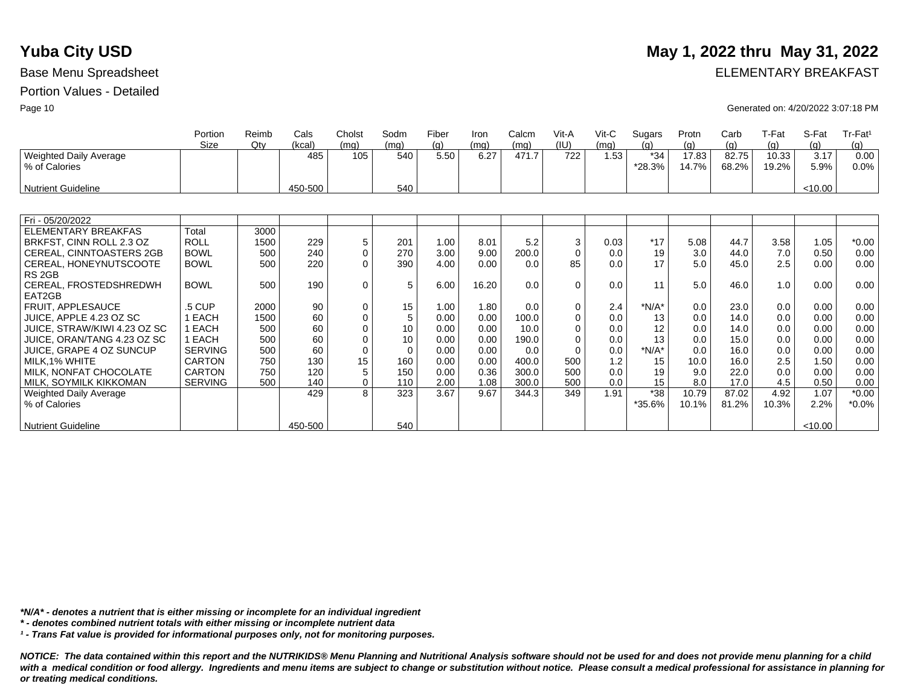|                                         | Portion        | Reimb | Cals    | Cholst       | Sodm     | Fiber | Iron  | Calcm | Vit-A    | $V$ it-C | Sugars          | Protn          | Carb           | T-Fat          | S-Fat        | Tr-Fat <sup>1</sup> |
|-----------------------------------------|----------------|-------|---------|--------------|----------|-------|-------|-------|----------|----------|-----------------|----------------|----------------|----------------|--------------|---------------------|
|                                         | Size           | Qtv   | (kcal)  | (mq)         | (mq)     | (q)   | (mq)  | (mq)  | (IU)     | (mq)     | (a)             | (q)            | (g)            | (q)            | (q)          | (g)                 |
| Weighted Daily Average<br>% of Calories |                |       | 485     | 105          | 540      | 5.50  | 6.27  | 471.7 | 722      | 1.53     | $*34$<br>*28.3% | 17.83<br>14.7% | 82.75<br>68.2% | 10.33<br>19.2% | 3.17<br>5.9% | 0.00<br>0.0%        |
| Nutrient Guideline                      |                |       | 450-500 |              | 540      |       |       |       |          |          |                 |                |                |                | < 10.00      |                     |
|                                         |                |       |         |              |          |       |       |       |          |          |                 |                |                |                |              |                     |
| Fri - 05/20/2022                        |                |       |         |              |          |       |       |       |          |          |                 |                |                |                |              |                     |
| <b>ELEMENTARY BREAKFAS</b>              | Total          | 3000  |         |              |          |       |       |       |          |          |                 |                |                |                |              |                     |
| BRKFST, CINN ROLL 2.3 OZ                | <b>ROLL</b>    | 1500  | 229     | 5            | 201      | 1.00  | 8.01  | 5.2   | 3        | 0.03     | $*17$           | 5.08           | 44.7           | 3.58           | 1.05         | $*0.00$             |
| CEREAL, CINNTOASTERS 2GB                | <b>BOWL</b>    | 500   | 240     | 0            | 270      | 3.00  | 9.00  | 200.0 | $\Omega$ | 0.0      | 19              | 3.0            | 44.0           | 7.0            | 0.50         | 0.00                |
| CEREAL, HONEYNUTSCOOTE                  | <b>BOWL</b>    | 500   | 220     | $\Omega$     | 390      | 4.00  | 0.00  | 0.0   | 85       | 0.0      | 17              | 5.0            | 45.0           | 2.5            | 0.00         | 0.00                |
| RS <sub>2GB</sub>                       |                |       |         |              |          |       |       |       |          |          |                 |                |                |                |              |                     |
| CEREAL, FROSTEDSHREDWH                  | <b>BOWL</b>    | 500   | 190     | 0            | 5        | 6.00  | 16.20 | 0.0   | $\Omega$ | 0.0      | 11              | 5.0            | 46.0           | 1.0            | 0.00         | 0.00                |
| EAT2GB                                  |                |       |         |              |          |       |       |       |          |          |                 |                |                |                |              |                     |
| <b>FRUIT, APPLESAUCE</b>                | .5 CUP         | 2000  | 90      | $\mathbf 0$  | 15       | 1.00  | 1.80  | 0.0   | $\Omega$ | 2.4      | $*N/A*$         | 0.0            | 23.0           | 0.0            | 0.00         | 0.00                |
| JUICE, APPLE 4.23 OZ SC                 | 1 EACH         | 1500  | 60      | 0            | 5        | 0.00  | 0.00  | 100.0 | $\Omega$ | 0.0      | 13              | 0.0            | 14.0           | 0.0            | 0.00         | 0.00                |
| JUICE, STRAW/KIWI 4.23 OZ SC            | 1 EACH         | 500   | 60      | 0            | 10       | 0.00  | 0.00  | 10.0  | $\Omega$ | 0.0      | 12              | 0.0            | 14.0           | 0.0            | 0.00         | 0.00                |
| JUICE, ORAN/TANG 4.23 OZ SC             | 1 EACH         | 500   | 60      | 0            | 10       | 0.00  | 0.00  | 190.0 | $\Omega$ | 0.0      | 13              | 0.0            | 15.0           | 0.0            | 0.00         | 0.00                |
| <b>JUICE, GRAPE 4 OZ SUNCUP</b>         | <b>SERVING</b> | 500   | 60      | $\mathbf 0$  | $\Omega$ | 0.00  | 0.00  | 0.0   | $\Omega$ | 0.0      | $*N/A*$         | 0.0            | 16.0           | 0.0            | 0.00         | 0.00                |
| MILK, 1% WHITE                          | <b>CARTON</b>  | 750   | 130     | 15           | 160      | 0.00  | 0.00  | 400.0 | 500      | 1.2      | 15              | 10.0           | 16.0           | 2.5            | 1.50         | 0.00                |
| MILK, NONFAT CHOCOLATE                  | <b>CARTON</b>  | 750   | 120     | 5            | 150      | 0.00  | 0.36  | 300.0 | 500      | 0.0      | 19              | 9.0            | 22.0           | 0.0            | 0.00         | 0.00                |
| MILK. SOYMILK KIKKOMAN                  | <b>SERVING</b> | 500   | 140     | $\mathbf{0}$ | 110      | 2.00  | 1.08  | 300.0 | 500      | 0.0      | 15              | 8.0            | 17.0           | 4.5            | 0.50         | 0.00                |
| <b>Weighted Daily Average</b>           |                |       | 429     | 8            | 323      | 3.67  | 9.67  | 344.3 | 349      | 1.91     | $*38$           | 10.79          | 87.02          | 4.92           | 1.07         | $*0.00$             |
| % of Calories                           |                |       |         |              |          |       |       |       |          |          | *35.6%          | 10.1%          | 81.2%          | 10.3%          | 2.2%         | $*0.0\%$            |
|                                         |                |       |         |              |          |       |       |       |          |          |                 |                |                |                |              |                     |
| <b>Nutrient Guideline</b>               |                |       | 450-500 |              | 540      |       |       |       |          |          |                 |                |                |                | < 10.00      |                     |

*\*N/A\* - denotes a nutrient that is either missing or incomplete for an individual ingredient*

*\* - denotes combined nutrient totals with either missing or incomplete nutrient data*

*¹ - Trans Fat value is provided for informational purposes only, not for monitoring purposes.*

*NOTICE: The data contained within this report and the NUTRIKIDS® Menu Planning and Nutritional Analysis software should not be used for and does not provide menu planning for a child*  with a medical condition or food allergy. Ingredients and menu items are subject to change or substitution without notice. Please consult a medical professional for assistance in planning for *or treating medical conditions.*

### **Yuba City USD** May 1, 2022 thru May 31, 2022

Base Menu Spreadsheet **ELEMENTARY BREAKFAST** 

Page 10 Generated on: 4/20/2022 3:07:18 PM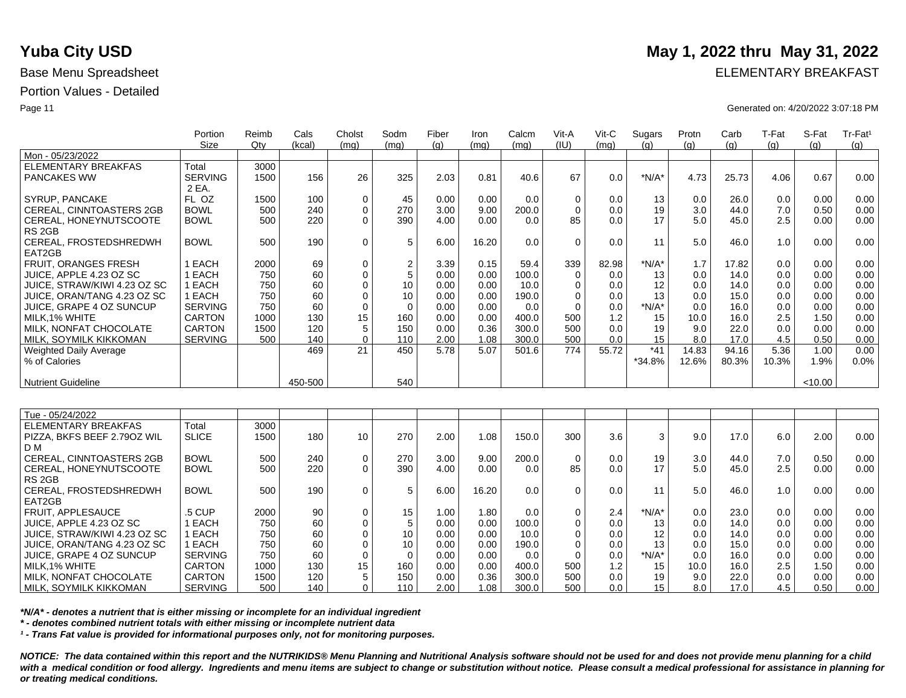|                               | Portion<br><b>Size</b> | Reimb<br>Qtv | Cals<br>(kcal) | Cholst<br>(mq)  | Sodm<br>(mq)  | Fiber<br>(q) | Iron<br>(mq) | Calcm<br>(ma) | Vit-A<br>(IU) | Vit-C<br>(mg) | Sugars<br>(q) | Protn<br>(g) | Carb<br>(g) | T-Fat<br>(q) | S-Fat<br>(q) | Tr-Fat <sup>1</sup><br>(g) |
|-------------------------------|------------------------|--------------|----------------|-----------------|---------------|--------------|--------------|---------------|---------------|---------------|---------------|--------------|-------------|--------------|--------------|----------------------------|
| Mon - 05/23/2022              |                        |              |                |                 |               |              |              |               |               |               |               |              |             |              |              |                            |
| <b>ELEMENTARY BREAKFAS</b>    | Total                  | 3000         |                |                 |               |              |              |               |               |               |               |              |             |              |              |                            |
| <b>PANCAKES WW</b>            | <b>SERVING</b>         | 1500         | 156            | 26              | 325           | 2.03         | 0.81         | 40.6          | 67            | 0.0           | $*N/A*$       | 4.73         | 25.73       | 4.06         | 0.67         | 0.00                       |
|                               | 2 EA.                  |              |                |                 |               |              |              |               |               |               |               |              |             |              |              |                            |
| SYRUP, PANCAKE                | FL OZ                  | 1500         | 100            | $\mathbf 0$     | 45            | 0.00         | 0.00         | 0.0           | 0             | 0.0           | 13            | 0.0          | 26.0        | 0.0          | 0.00         | 0.00                       |
| CEREAL, CINNTOASTERS 2GB      | <b>BOWL</b>            | 500          | 240            | $\mathbf 0$     | 270           | 3.00         | 9.00         | 200.0         | $\Omega$      | 0.0           | 19            | 3.0          | 44.0        | 7.0          | 0.50         | 0.00                       |
| CEREAL, HONEYNUTSCOOTE        | <b>BOWL</b>            | 500          | 220            | $\Omega$        | 390           | 4.00         | 0.00         | 0.0           | 85            | 0.0           | 17            | 5.0          | 45.0        | 2.5          | 0.00         | 0.00                       |
| RS <sub>2GB</sub>             |                        |              |                |                 |               |              |              |               |               |               |               |              |             |              |              |                            |
| CEREAL, FROSTEDSHREDWH        | <b>BOWL</b>            | 500          | 190            | $\mathbf 0$     | $\,$ 5 $\,$   | 6.00         | 16.20        | 0.0           | $\Omega$      | 0.0           | 11            | 5.0          | 46.0        | 1.0          | 0.00         | 0.00                       |
| EAT2GB                        |                        |              |                |                 |               |              |              |               |               |               |               |              |             |              |              |                            |
| <b>FRUIT, ORANGES FRESH</b>   | 1 EACH                 | 2000         | 69             | $\mathbf 0$     |               | 3.39         | 0.15         | 59.4          | 339           | 82.98         | $*N/A*$       | 1.7          | 17.82       | 0.0          | 0.00         | 0.00                       |
| JUICE, APPLE 4.23 OZ SC       | 1 EACH                 | 750          | 60             | $\mathbf 0$     | $\frac{2}{5}$ | 0.00         | 0.00         | 100.0         | $\Omega$      | 0.0           | 13            | 0.0          | 14.0        | 0.0          | 0.00         | 0.00                       |
| JUICE, STRAW/KIWI 4.23 OZ SC  | 1 EACH                 | 750          | 60             | $\Omega$        | 10            | 0.00         | 0.00         | 10.0          | $\Omega$      | 0.0           | 12            | 0.0          | 14.0        | 0.0          | 0.00         | 0.00                       |
| JUICE, ORAN/TANG 4.23 OZ SC   | 1 EACH                 | 750          | 60             | $\mathbf 0$     | 10            | 0.00         | 0.00         | 190.0         | $\Omega$      | 0.0           | 13            | 0.0          | 15.0        | 0.0          | 0.00         | 0.00                       |
| JUICE, GRAPE 4 OZ SUNCUP      | <b>SERVING</b>         | 750          | 60             | $\mathbf 0$     | $\mathbf 0$   | 0.00         | 0.00         | 0.0           | $\Omega$      | 0.0           | $*N/A*$       | 0.0          | 16.0        | 0.0          | 0.00         | 0.00                       |
| MILK.1% WHITE                 | <b>CARTON</b>          | 1000         | 130            | 15              | 160           | 0.00         | 0.00         | 400.0         | 500           | 1.2           | 15            | 10.0         | 16.0        | 2.5          | 1.50         | 0.00                       |
| MILK, NONFAT CHOCOLATE        | <b>CARTON</b>          | 1500         | 120            | 5               | 150           | 0.00         | 0.36         | 300.0         | 500           | 0.0           | 19            | 9.0          | 22.0        | 0.0          | 0.00         | 0.00                       |
| MILK, SOYMILK KIKKOMAN        | <b>SERVING</b>         | 500          | 140            | $\mathbf{0}$    | 110           | 2.00         | 1.08         | 300.0         | 500           | 0.0           | 15            | 8.0          | 17.0        | 4.5          | 0.50         | 0.00                       |
| <b>Weighted Daily Average</b> |                        |              | 469            | 21              | 450           | 5.78         | 5.07         | 501.6         | 774           | 55.72         | $*41$         | 14.83        | 94.16       | 5.36         | 1.00         | 0.00                       |
| % of Calories                 |                        |              |                |                 |               |              |              |               |               |               | *34.8%        | 12.6%        | 80.3%       | 10.3%        | 1.9%         | 0.0%                       |
|                               |                        |              |                |                 |               |              |              |               |               |               |               |              |             |              |              |                            |
| <b>Nutrient Guideline</b>     |                        |              | 450-500        |                 | 540           |              |              |               |               |               |               |              |             |              | < 10.00      |                            |
|                               |                        |              |                |                 |               |              |              |               |               |               |               |              |             |              |              |                            |
|                               |                        |              |                |                 |               |              |              |               |               |               |               |              |             |              |              |                            |
| Tue - 05/24/2022              |                        |              |                |                 |               |              |              |               |               |               |               |              |             |              |              |                            |
| <b>ELEMENTARY BREAKFAS</b>    | Total                  | 3000         |                |                 |               |              |              |               |               |               |               |              |             |              |              |                            |
| PIZZA, BKFS BEEF 2.790Z WIL   | <b>SLICE</b>           | 1500         | 180            | 10 <sup>°</sup> | 270           | 2.00         | 1.08         | 150.0         | 300           | 3.6           | 3             | 9.0          | 17.0        | 6.0          | 2.00         | 0.00                       |
| D M                           |                        |              |                |                 |               |              |              |               |               |               |               |              |             |              |              |                            |
| CEREAL, CINNTOASTERS 2GB      | <b>BOWL</b>            | 500          | 240            | 0               | 270           | 3.00         | 9.00         | 200.0         | $\mathbf 0$   | 0.0           | 19            | 3.0          | 44.0        | 7.0          | 0.50         | 0.00                       |
| CEREAL, HONEYNUTSCOOTE        | <b>BOWL</b>            | 500          | 220            | $\Omega$        | 390           | 4.00         | 0.00         | 0.0           | 85            | 0.0           | 17            | 5.0          | 45.0        | 2.5          | 0.00         | 0.00                       |
| RS <sub>2GB</sub>             |                        |              |                |                 |               |              |              |               |               |               |               |              |             |              |              |                            |
| CEREAL, FROSTEDSHREDWH        | <b>BOWL</b>            | 500          | 190            | 0               | $\,$ 5 $\,$   | 6.00         | 16.20        | 0.0           | $\Omega$      | 0.0           | 11            | 5.0          | 46.0        | 1.0          | 0.00         | 0.00                       |
| EAT2GB                        |                        |              |                |                 |               |              |              |               |               |               |               |              |             |              |              |                            |
| FRUIT, APPLESAUCE             | .5 CUP                 | 2000         | 90             | 0               | 15            | 1.00         | 1.80         | 0.0           | $\mathbf 0$   | 2.4           | $*N/A*$       | 0.0          | 23.0        | 0.0          | 0.00         | 0.00                       |
| JUICE, APPLE 4.23 OZ SC       | 1 EACH                 | 750          | 60             | $\mathbf 0$     | 5             | 0.00         | 0.00         | 100.0         | $\Omega$      | 0.0           | 13            | 0.0          | 14.0        | 0.0          | 0.00         | 0.00                       |
| JUICE, STRAW/KIWI 4.23 OZ SC  | 1 EACH                 | 750          | 60             | $\mathbf 0$     | 10            | 0.00         | 0.00         | 10.0          | $\Omega$      | 0.0           | 12            | 0.0          | 14.0        | 0.0          | 0.00         | 0.00                       |
| JUICE, ORAN/TANG 4.23 OZ SC   | 1 EACH                 | 750          | 60             | $\Omega$        | 10            | 0.00         | 0.00         | 190.0         | $\Omega$      | 0.0           | 13            | 0.0          | 15.0        | 0.0          | 0.00         | 0.00                       |
| JUICE, GRAPE 4 OZ SUNCUP      | <b>SERVING</b>         | 750          | 60             | $\mathbf 0$     | $\mathbf 0$   | 0.00         | 0.00         | 0.0           | $\Omega$      | 0.0           | $*N/A*$       | 0.0          | 16.0        | 0.0          | 0.00         | 0.00                       |
| MILK.1% WHITE                 | <b>CARTON</b>          | 1000         | 130            | 15              | 160           | 0.00         | 0.00         | 400.0         | 500           | 1.2           | 15            | 10.0         | 16.0        | 2.5          | 1.50         | 0.00                       |
| MILK, NONFAT CHOCOLATE        | <b>CARTON</b>          | 1500         | 120            | 5               | 150           | 0.00         | 0.36         | 300.0         | 500           | 0.0           | 19            | 9.0          | 22.0        | 0.0          | 0.00         | 0.00                       |
| I MILK. SOYMILK KIKKOMAN      | <b>SERVING</b>         | 500          | 140            | $\Omega$        | 110           | 2.00         | 1.08         | 300.0         | 500           | 0.0           | 15            | 8.0          | 17.0        | 4.5          | 0.50         | 0.00                       |

*\*N/A\* - denotes a nutrient that is either missing or incomplete for an individual ingredient*

*\* - denotes combined nutrient totals with either missing or incomplete nutrient data*

*¹ - Trans Fat value is provided for informational purposes only, not for monitoring purposes.*

*NOTICE: The data contained within this report and the NUTRIKIDS® Menu Planning and Nutritional Analysis software should not be used for and does not provide menu planning for a child*  with a medical condition or food allergy. Ingredients and menu items are subject to change or substitution without notice. Please consult a medical professional for assistance in planning for *or treating medical conditions.*

## **Yuba City USD** May 1, 2022 thru May 31, 2022

Base Menu Spreadsheet **ELEMENTARY BREAKFAST** 

Page 11 Generated on: 4/20/2022 3:07:18 PM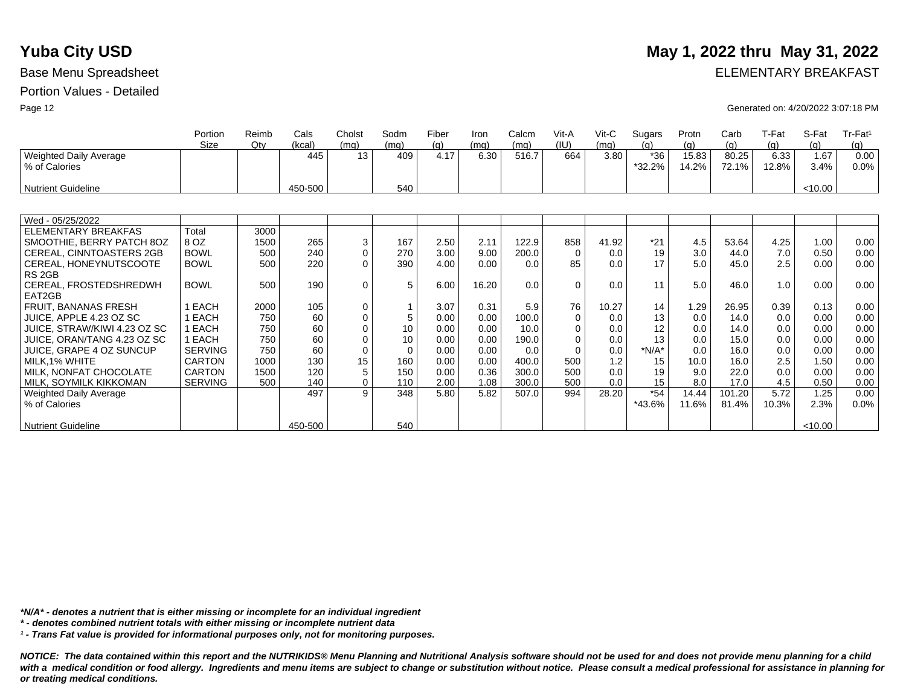### **Yuba City USD**

### Portion Values - Detailed

| May 1, 2022 thru May 31, 2022 |
|-------------------------------|
|                               |

Base Menu Spreadsheet **ELEMENTARY BREAKFAST** 

Page 12 Generated on: 4/20/2022 3:07:18 PM

|                               | Portion        | Reimb | Cals    | Cholst      | Sodm     | Fiber | Iron  | Calcm | Vit-A        | Vit-C | Sugars  | Protn | Carb   | T-Fat | S-Fat   | Tr-Fat <sup>1</sup> |
|-------------------------------|----------------|-------|---------|-------------|----------|-------|-------|-------|--------------|-------|---------|-------|--------|-------|---------|---------------------|
|                               | Size           | Qtv   | (kcal)  | (mq)        | (mq)     | (g)   | (mq)  | (mq)  | (IU)         | (mq)  | (q)     | (g)   | (q)    | (q)   | (g)     | (q)                 |
| <b>Weighted Daily Average</b> |                |       | 445     | 13          | 409      | 4.17  | 6.30  | 516.7 | 664          | 3.80  | $*36$   | 15.83 | 80.25  | 6.33  | 1.67    | 0.00                |
| % of Calories                 |                |       |         |             |          |       |       |       |              |       | *32.2%  | 14.2% | 72.1%  | 12.8% | 3.4%    | 0.0%                |
|                               |                |       |         |             |          |       |       |       |              |       |         |       |        |       |         |                     |
| <b>Nutrient Guideline</b>     |                |       | 450-500 |             | 540      |       |       |       |              |       |         |       |        |       | < 10.00 |                     |
|                               |                |       |         |             |          |       |       |       |              |       |         |       |        |       |         |                     |
| Wed - 05/25/2022              |                |       |         |             |          |       |       |       |              |       |         |       |        |       |         |                     |
| <b>ELEMENTARY BREAKFAS</b>    | Total          | 3000  |         |             |          |       |       |       |              |       |         |       |        |       |         |                     |
| SMOOTHIE, BERRY PATCH 8OZ     | 8 OZ           | 1500  | 265     | 3           | 167      | 2.50  | 2.11  | 122.9 | 858          | 41.92 | $*21$   | 4.5   | 53.64  | 4.25  | 1.00    | 0.00                |
| CEREAL, CINNTOASTERS 2GB      | <b>BOWL</b>    | 500   | 240     | $\mathbf 0$ | 270      | 3.00  | 9.00  | 200.0 | $\Omega$     | 0.0   | 19      | 3.0   | 44.0   | 7.0   | 0.50    | 0.00                |
| CEREAL, HONEYNUTSCOOTE        | <b>BOWL</b>    | 500   | 220     | $\Omega$    | 390      | 4.00  | 0.00  | 0.0   | 85           | 0.0   | 17      | 5.0   | 45.0   | 2.5   | 0.00    | 0.00                |
| RS <sub>2GB</sub>             |                |       |         |             |          |       |       |       |              |       |         |       |        |       |         |                     |
| CEREAL, FROSTEDSHREDWH        | <b>BOWL</b>    | 500   | 190     | $\mathbf 0$ | 5        | 6.00  | 16.20 | 0.0   | $\Omega$     | 0.0   | 11      | 5.0   | 46.0   | 1.0   | 0.00    | 0.00                |
| EAT2GB                        |                |       |         |             |          |       |       |       |              |       |         |       |        |       |         |                     |
| FRUIT, BANANAS FRESH          | 1 EACH         | 2000  | 105     | 0           |          | 3.07  | 0.31  | 5.9   | 76           | 10.27 | 14      | 1.29  | 26.95  | 0.39  | 0.13    | 0.00                |
| JUICE, APPLE 4.23 OZ SC       | 1 EACH         | 750   | 60      | $\mathbf 0$ | 5        | 0.00  | 0.00  | 100.0 | $\mathbf{0}$ | 0.0   | 13      | 0.0   | 14.0   | 0.0   | 0.00    | 0.00                |
| JUICE, STRAW/KIWI 4.23 OZ SC  | 1 EACH         | 750   | 60      | $\mathbf 0$ | 10       | 0.00  | 0.00  | 10.0  | $\mathbf 0$  | 0.0   | 12      | 0.0   | 14.0   | 0.0   | 0.00    | 0.00                |
| JUICE, ORAN/TANG 4.23 OZ SC   | 1 EACH         | 750   | 60      | $\Omega$    | 10       | 0.00  | 0.00  | 190.0 | $\Omega$     | 0.0   | 13      | 0.0   | 15.0   | 0.0   | 0.00    | 0.00                |
| JUICE, GRAPE 4 OZ SUNCUP      | <b>SERVING</b> | 750   | 60      | $\mathbf 0$ | $\Omega$ | 0.00  | 0.00  | 0.0   | $\Omega$     | 0.0   | $*N/A*$ | 0.0   | 16.0   | 0.0   | 0.00    | 0.00                |
| MILK,1% WHITE                 | <b>CARTON</b>  | 1000  | 130     | 15          | 160      | 0.00  | 0.00  | 400.0 | 500          | 1.2   | 15      | 10.0  | 16.0   | 2.5   | 1.50    | 0.00                |
| MILK, NONFAT CHOCOLATE        | <b>CARTON</b>  | 1500  | 120     | 5           | 150      | 0.00  | 0.36  | 300.0 | 500          | 0.0   | 19      | 9.0   | 22.0   | 0.0   | 0.00    | 0.00                |
| MILK, SOYMILK KIKKOMAN        | <b>SERVING</b> | 500   | 140     | $\mathbf 0$ | 110      | 2.00  | 1.08  | 300.0 | 500          | 0.0   | 15      | 8.0   | 17.0   | 4.5   | 0.50    | 0.00                |
| Weighted Daily Average        |                |       | 497     | 9           | 348      | 5.80  | 5.82  | 507.0 | 994          | 28.20 | $*54$   | 14.44 | 101.20 | 5.72  | 1.25    | 0.00                |
| % of Calories                 |                |       |         |             |          |       |       |       |              |       | *43.6%  | 11.6% | 81.4%  | 10.3% | 2.3%    | $0.0\%$             |
|                               |                |       |         |             |          |       |       |       |              |       |         |       |        |       |         |                     |
| <b>Nutrient Guideline</b>     |                |       | 450-500 |             | 540      |       |       |       |              |       |         |       |        |       | < 10.00 |                     |

*\*N/A\* - denotes a nutrient that is either missing or incomplete for an individual ingredient*

*\* - denotes combined nutrient totals with either missing or incomplete nutrient data*

*¹ - Trans Fat value is provided for informational purposes only, not for monitoring purposes.*

*NOTICE: The data contained within this report and the NUTRIKIDS® Menu Planning and Nutritional Analysis software should not be used for and does not provide menu planning for a child*  with a medical condition or food allergy. Ingredients and menu items are subject to change or substitution without notice. Please consult a medical professional for assistance in planning for *or treating medical conditions.*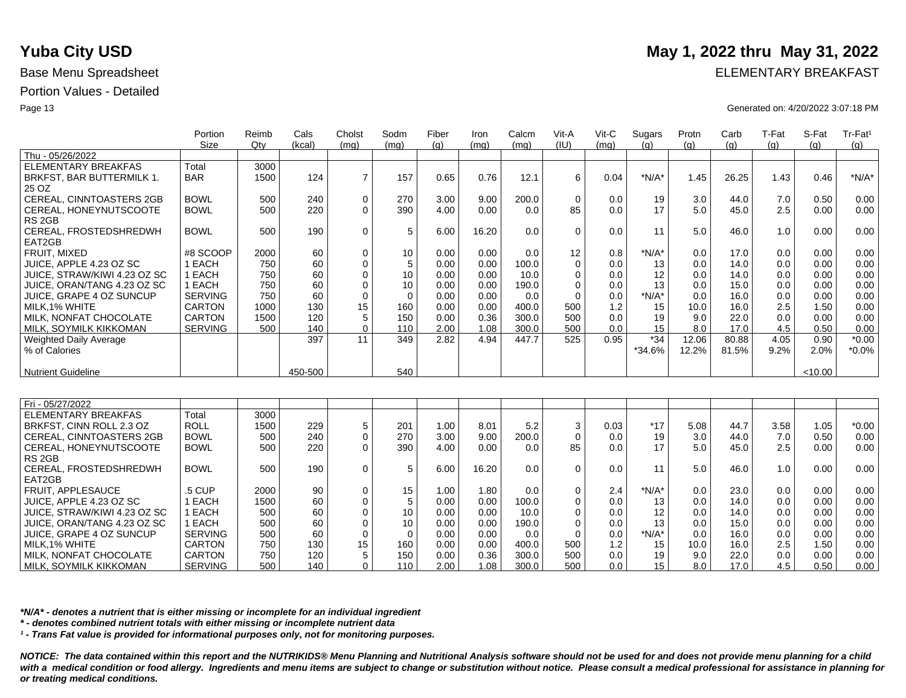|                              | Portion<br>Size | Reimb<br>$Q$ ty | Cals<br>(kcal) | Cholst<br>(mq) | Sodm<br>(mq) | Fiber<br>(q) | Iron<br>(mq) | Calcm<br>(mq) | Vit-A<br>(IU) | Vit-C<br>(mq) | Sugars<br>(a) | Protn<br>(q) | Carb<br>(q) | T-Fat<br>(q) | S-Fat<br>(q) | Tr-Fat <sup>1</sup><br>(q) |
|------------------------------|-----------------|-----------------|----------------|----------------|--------------|--------------|--------------|---------------|---------------|---------------|---------------|--------------|-------------|--------------|--------------|----------------------------|
| Thu - 05/26/2022             |                 |                 |                |                |              |              |              |               |               |               |               |              |             |              |              |                            |
| ELEMENTARY BREAKFAS          | Total           | 3000            |                |                |              |              |              |               |               |               |               |              |             |              |              |                            |
| BRKFST, BAR BUTTERMILK 1.    | <b>BAR</b>      | 1500            | 124            | $\overline{ }$ | 157          | 0.65         | 0.76         | 12.1          | 6             | 0.04          | $*N/A*$       | 1.45         | 26.25       | 1.43         | 0.46         | $*N/A*$                    |
| 25 OZ                        |                 |                 |                |                |              |              |              |               |               |               |               |              |             |              |              |                            |
| CEREAL, CINNTOASTERS 2GB     | <b>BOWL</b>     | 500             | 240            | $\mathbf 0$    | 270          | 3.00         | 9.00         | 200.0         | $\Omega$      | 0.0           | 19            | 3.0          | 44.0        | 7.0          | 0.50         | 0.00                       |
| CEREAL, HONEYNUTSCOOTE       | <b>BOWL</b>     | 500             | 220            | $\Omega$       | 390          | 4.00         | 0.00         | 0.0           | 85            | 0.0           | 17            | 5.0          | 45.0        | 2.5          | 0.00         | 0.00                       |
| RS <sub>2GB</sub>            |                 |                 |                |                |              |              |              |               |               |               |               |              |             |              |              |                            |
| CEREAL, FROSTEDSHREDWH       | <b>BOWL</b>     | 500             | 190            | $\mathbf 0$    | 5            | 6.00         | 16.20        | 0.0           | $\Omega$      | 0.0           | 11            | 5.0          | 46.0        | 1.0          | 0.00         | 0.00                       |
| EAT2GB                       |                 |                 |                |                |              |              |              |               |               |               |               |              |             |              |              |                            |
| FRUIT. MIXED                 | #8 SCOOP        | 2000            | 60             | $\mathbf 0$    | 10           | 0.00         | 0.00         | 0.0           | 12            | 0.8           | $*N/A*$       | 0.0          | 17.0        | 0.0          | 0.00         | 0.00                       |
| JUICE, APPLE 4.23 OZ SC      | EACH            | 750             | 60             | $\mathbf 0$    | 5            | 0.00         | 0.00         | 100.0         | 0             | 0.0           | 13            | 0.0          | 14.0        | 0.0          | 0.00         | 0.00                       |
| JUICE. STRAW/KIWI 4.23 OZ SC | 1 EACH          | 750             | 60             | 0              | 10           | 0.00         | 0.00         | 10.0          |               | 0.0           | 12            | 0.0          | 14.0        | 0.0          | 0.00         | 0.00                       |
| JUICE, ORAN/TANG 4.23 OZ SC  | EACH            | 750             | 60             | $\Omega$       | 10           | 0.00         | 0.00         | 190.0         |               | 0.0           | 13            | 0.0          | 15.0        | 0.0          | 0.00         | 0.00                       |
| JUICE, GRAPE 4 OZ SUNCUP     | <b>SERVING</b>  | 750             | 60             | 0              | $\mathbf 0$  | 0.00         | 0.00         | 0.0           |               | 0.0           | *N/A*         | 0.0          | 16.0        | 0.0          | 0.00         | 0.00                       |
| MILK, 1% WHITE               | <b>CARTON</b>   | 1000            | 130            | 15             | 160          | 0.00         | 0.00         | 400.0         | 500           | 1.2           | 15            | 10.0         | 16.0        | 2.5          | 1.50         | 0.00                       |
| MILK, NONFAT CHOCOLATE       | <b>CARTON</b>   | 1500            | 120            | 5              | 150          | 0.00         | 0.36         | 300.0         | 500           | 0.0           | 19            | 9.0          | 22.0        | 0.0          | 0.00         | 0.00                       |
| MILK, SOYMILK KIKKOMAN       | <b>SERVING</b>  | 500             | 140            | 0              | 110          | 2.00         | 1.08         | 300.0         | 500           | 0.0           | 15            | 8.0          | 17.0        | 4.5          | 0.50         | 0.00                       |
| Weighted Daily Average       |                 |                 | 397            | 11             | 349          | 2.82         | 4.94         | 447.7         | 525           | 0.95          | $*34$         | 12.06        | 80.88       | 4.05         | 0.90         | $*0.00$                    |
| % of Calories                |                 |                 |                |                |              |              |              |               |               |               | *34.6%        | 12.2%        | 81.5%       | 9.2%         | 2.0%         | $*0.0\%$                   |
| <b>Nutrient Guideline</b>    |                 |                 | 450-500        |                | 540          |              |              |               |               |               |               |              |             |              | < 10.00      |                            |
|                              |                 |                 |                |                |              |              |              |               |               |               |               |              |             |              |              |                            |

| Fri - 05/27/2022             |                |      |     |                 |     |      |       |       |             |      |         |      |      |      |      |         |
|------------------------------|----------------|------|-----|-----------------|-----|------|-------|-------|-------------|------|---------|------|------|------|------|---------|
| ELEMENTARY BREAKFAS          | Total          | 3000 |     |                 |     |      |       |       |             |      |         |      |      |      |      |         |
| BRKFST, CINN ROLL 2.3 OZ     | <b>ROLL</b>    | 1500 | 229 | 5               | 201 | 1.00 | 8.01  | 5.2   | 3           | 0.03 | $*17$   | 5.08 | 44.7 | 3.58 | 1.05 | $*0.00$ |
| CEREAL, CINNTOASTERS 2GB     | <b>BOWL</b>    | 500  | 240 |                 | 270 | 3.00 | 9.00  | 200.0 | $\mathbf 0$ | 0.0  | 19      | 3.0  | 44.0 | 7.0  | 0.50 | 0.00    |
| CEREAL, HONEYNUTSCOOTE       | <b>BOWL</b>    | 500  | 220 |                 | 390 | 4.00 | 0.00  | 0.0   | 85          | 0.0  |         | 5.0  | 45.0 | 2.5  | 0.00 | 0.00    |
| RS 2GB                       |                |      |     |                 |     |      |       |       |             |      |         |      |      |      |      |         |
| CEREAL, FROSTEDSHREDWH       | <b>BOWL</b>    | 500  | 190 |                 |     | 6.00 | 16.20 | 0.0   | $\mathbf 0$ | 0.0  | 11      | 5.0  | 46.0 | 1.0  | 0.00 | 0.00    |
| EAT2GB                       |                |      |     |                 |     |      |       |       |             |      |         |      |      |      |      |         |
| <b>FRUIT, APPLESAUCE</b>     | .5 CUP         | 2000 | 90  |                 | 15  | 1.00 | 1.80  | 0.0   | 0           | 2.4  | $*N/A*$ | 0.0  | 23.0 | 0.0  | 0.00 | 0.00    |
| JUICE, APPLE 4.23 OZ SC      | EACH           | 1500 | 60  |                 |     | 0.00 | 0.00  | 100.0 | $\Omega$    | 0.0  | 13      | 0.0  | 14.0 | 0.0  | 0.00 | 0.00    |
| JUICE. STRAW/KIWI 4.23 OZ SC | EACH           | 500  | 60  |                 | 10  | 0.00 | 0.00  | 10.0  | 0           | 0.0  | 12      | 0.0  | 14.0 | 0.0  | 0.00 | 0.00    |
| JUICE, ORAN/TANG 4.23 OZ SC  | EACH           | 500  | 60  |                 | 10  | 0.00 | 0.00  | 190.0 | 0           | 0.0  | 13      | 0.0  | 15.0 | 0.0  | 0.00 | 0.00    |
| JUICE, GRAPE 4 OZ SUNCUP     | <b>SERVING</b> | 500  | 60  |                 |     | 0.00 | 0.00  | 0.0   | 0           | 0.0  | $*N/A*$ | 0.0  | 16.0 | 0.0  | 0.00 | 0.00    |
| MILK, 1% WHITE               | <b>CARTON</b>  | 750  | 130 | 15 <sub>1</sub> | 160 | 0.00 | 0.00  | 400.0 | 500         | 1.2  | 15      | 10.0 | 16.0 | 2.5  | 1.50 | 0.00    |
| MILK. NONFAT CHOCOLATE       | CARTON         | 750  | 120 |                 | 150 | 0.00 | 0.36  | 300.0 | 500         | 0.0  | 19      | 9.0  | 22.0 | 0.0  | 0.00 | 0.00    |
| MILK, SOYMILK KIKKOMAN       | <b>SERVING</b> | 500  | 140 | 0               | 110 | 2.00 | 1.08  | 300.0 | 500         | 0.0  | 15      | 8.0  | 17.0 | 4.5  | 0.50 | 0.00    |

*\*N/A\* - denotes a nutrient that is either missing or incomplete for an individual ingredient*

*\* - denotes combined nutrient totals with either missing or incomplete nutrient data*

*¹ - Trans Fat value is provided for informational purposes only, not for monitoring purposes.*

*NOTICE: The data contained within this report and the NUTRIKIDS® Menu Planning and Nutritional Analysis software should not be used for and does not provide menu planning for a child*  with a medical condition or food allergy. Ingredients and menu items are subject to change or substitution without notice. Please consult a medical professional for assistance in planning for *or treating medical conditions.*

## **Yuba City USD** May 1, 2022 thru May 31, 2022

Base Menu Spreadsheet **ELEMENTARY BREAKFAST** 

Page 13 Generated on: 4/20/2022 3:07:18 PM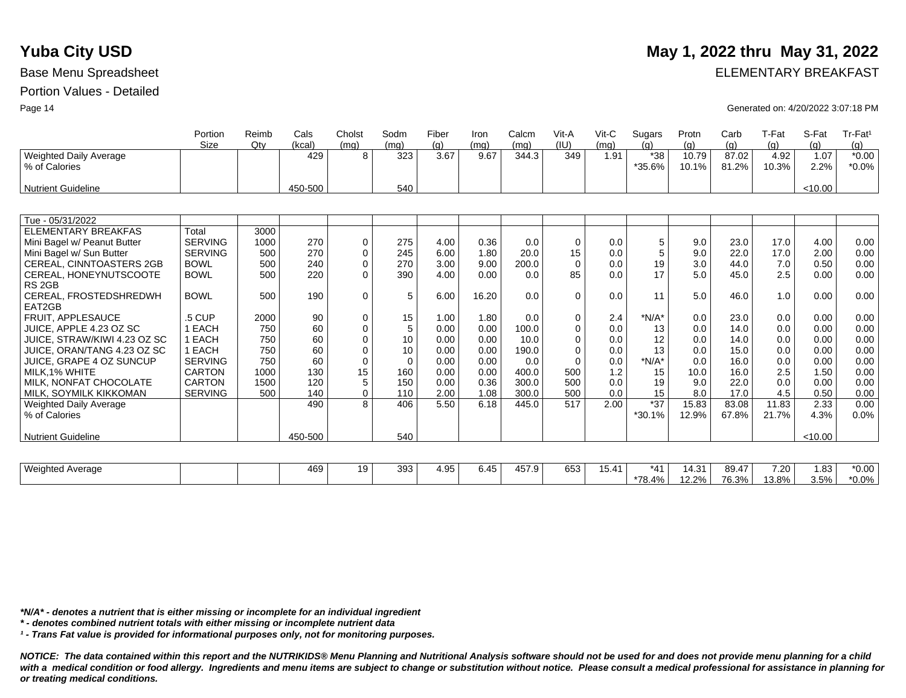# **Yuba City USD** May 1, 2022 thru May 31, 2022

Base Menu Spreadsheet **ELEMENTARY BREAKFAST** 

Page 14 Generated on: 4/20/2022 3:07:18 PM

|                                 | Portion<br>Size | Reimb<br>Qtv | Cals<br>(kcal) | Cholst<br>(mq) | Sodm<br>(mq) | Fiber<br>(q) | Iron<br>(mq) | Calcm<br>(mq) | Vit-A<br>(IU) | Vit-C<br>(mq) | Sugars<br>(a) | Protn<br>(q) | Carb<br>(q) | T-Fat<br>(a) | S-Fat<br>(q) | Tr-Fat <sup>1</sup><br>(q) |
|---------------------------------|-----------------|--------------|----------------|----------------|--------------|--------------|--------------|---------------|---------------|---------------|---------------|--------------|-------------|--------------|--------------|----------------------------|
| Weighted Daily Average          |                 |              | 429            | 8              | 323          | 3.67         | 9.67         | 344.3         | 349           | 1.91          | $*38$         | 10.79        | 87.02       | 4.92         | 1.07         | $*0.00$                    |
| % of Calories                   |                 |              |                |                |              |              |              |               |               |               | *35.6%        | 10.1%        | 81.2%       | 10.3%        | 2.2%         | $*0.0\%$                   |
|                                 |                 |              |                |                |              |              |              |               |               |               |               |              |             |              |              |                            |
| <b>Nutrient Guideline</b>       |                 |              | 450-500        |                | 540          |              |              |               |               |               |               |              |             |              | < 10.00      |                            |
|                                 |                 |              |                |                |              |              |              |               |               |               |               |              |             |              |              |                            |
| Tue - 05/31/2022                |                 |              |                |                |              |              |              |               |               |               |               |              |             |              |              |                            |
| <b>ELEMENTARY BREAKFAS</b>      | Total           | 3000         |                |                |              |              |              |               |               |               |               |              |             |              |              |                            |
| Mini Bagel w/ Peanut Butter     | <b>SERVING</b>  | 1000         | 270            | 0              | 275          | 4.00         | 0.36         | 0.0           | $\mathbf 0$   | 0.0           | 5             | 9.0          | 23.0        | 17.0         | 4.00         | 0.00                       |
| Mini Bagel w/ Sun Butter        | <b>SERVING</b>  | 500          | 270            | $\mathbf 0$    | 245          | 6.00         | 1.80         | 20.0          | 15            | 0.0           | 5             | 9.0          | 22.0        | 17.0         | 2.00         | 0.00                       |
| <b>CEREAL, CINNTOASTERS 2GB</b> | <b>BOWL</b>     | 500          | 240            | $\Omega$       | 270          | 3.00         | 9.00         | 200.0         | $\Omega$      | 0.0           | 19            | 3.0          | 44.0        | 7.0          | 0.50         | 0.00                       |
| CEREAL, HONEYNUTSCOOTE          | <b>BOWL</b>     | 500          | 220            | $\Omega$       | 390          | 4.00         | 0.00         | 0.0           | 85            | 0.0           | 17            | 5.0          | 45.0        | 2.5          | 0.00         | 0.00                       |
| RS <sub>2GB</sub>               |                 |              |                |                |              |              |              |               |               |               |               |              |             |              |              |                            |
| CEREAL, FROSTEDSHREDWH          | <b>BOWL</b>     | 500          | 190            | $\mathbf 0$    | 5            | 6.00         | 16.20        | 0.0           | $\Omega$      | 0.0           | 11            | 5.0          | 46.0        | 1.0          | 0.00         | 0.00                       |
| EAT2GB                          |                 |              |                |                |              |              |              |               |               |               |               |              |             |              |              |                            |
| FRUIT. APPLESAUCE               | .5 CUP          | 2000         | 90             | $\mathbf 0$    | 15           | 1.00         | 1.80         | 0.0           | $\mathbf 0$   | 2.4           | $*N/A*$       | 0.0          | 23.0        | 0.0          | 0.00         | 0.00                       |
| JUICE, APPLE 4.23 OZ SC         | 1 EACH          | 750          | 60             | $\mathbf 0$    | 5            | 0.00         | 0.00         | 100.0         | $\mathbf 0$   | 0.0           | 13            | 0.0          | 14.0        | 0.0          | 0.00         | 0.00                       |
| JUICE, STRAW/KIWI 4.23 OZ SC    | 1 EACH          | 750          | 60             | $\Omega$       | 10           | 0.00         | 0.00         | 10.0          | $\mathbf 0$   | 0.0           | 12            | 0.0          | 14.0        | 0.0          | 0.00         | 0.00                       |
| JUICE, ORAN/TANG 4.23 OZ SC     | 1 EACH          | 750          | 60             | $\Omega$       | 10           | 0.00         | 0.00         | 190.0         | $\Omega$      | 0.0           | 13            | 0.0          | 15.0        | 0.0          | 0.00         | 0.00                       |
| JUICE, GRAPE 4 OZ SUNCUP        | <b>SERVING</b>  | 750          | 60             | $\Omega$       | $\Omega$     | 0.00         | 0.00         | 0.0           | $\Omega$      | 0.0           | $*N/A*$       | 0.0          | 16.0        | 0.0          | 0.00         | 0.00                       |
| MILK.1% WHITE                   | <b>CARTON</b>   | 1000         | 130            | 15             | 160          | 0.00         | 0.00         | 400.0         | 500           | 1.2           | 15            | 10.0         | 16.0        | 2.5          | 1.50         | 0.00                       |
| MILK. NONFAT CHOCOLATE          | <b>CARTON</b>   | 1500         | 120            | 5              | 150          | 0.00         | 0.36         | 300.0         | 500           | 0.0           | 19            | 9.0          | 22.0        | 0.0          | 0.00         | 0.00                       |
| MILK, SOYMILK KIKKOMAN          | <b>SERVING</b>  | 500          | 140            | $\Omega$       | 110          | 2.00         | 1.08         | 300.0         | 500           | 0.0           | 15            | 8.0          | 17.0        | 4.5          | 0.50         | 0.00                       |
| <b>Weighted Daily Average</b>   |                 |              | 490            | 8              | 406          | 5.50         | 6.18         | 445.0         | 517           | 2.00          | $*37$         | 15.83        | 83.08       | 11.83        | 2.33         | 0.00                       |
| % of Calories                   |                 |              |                |                |              |              |              |               |               |               | *30.1%        | 12.9%        | 67.8%       | 21.7%        | 4.3%         | 0.0%                       |
|                                 |                 |              |                |                |              |              |              |               |               |               |               |              |             |              |              |                            |
| <b>Nutrient Guideline</b>       |                 |              | 450-500        |                | 540          |              |              |               |               |               |               |              |             |              | < 10.00      |                            |
|                                 |                 |              |                |                |              |              |              |               |               |               |               |              |             |              |              |                            |
| <b>Weighted Average</b>         |                 |              | 469            | 19             | 393          | 4.95         | 6.45         | 457.9         | 653           | 15.41         | $*41$         | 14.31        | 89.47       | 7.20         | 1.83         | $*0.00$                    |
|                                 |                 |              |                |                |              |              |              |               |               |               | *78.4%        | 12.2%        | 76.3%       | 13.8%        | 3.5%         | $*0.0\%$                   |

*\*N/A\* - denotes a nutrient that is either missing or incomplete for an individual ingredient*

*\* - denotes combined nutrient totals with either missing or incomplete nutrient data*

*¹ - Trans Fat value is provided for informational purposes only, not for monitoring purposes.*

*NOTICE: The data contained within this report and the NUTRIKIDS® Menu Planning and Nutritional Analysis software should not be used for and does not provide menu planning for a child*  with a medical condition or food allergy. Ingredients and menu items are subject to change or substitution without notice. Please consult a medical professional for assistance in planning for *or treating medical conditions.*